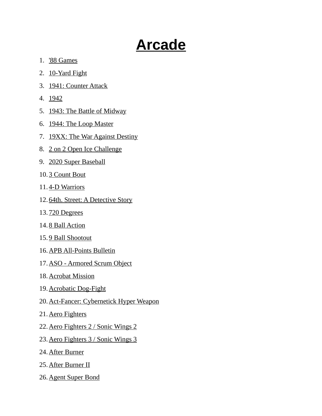## **Arcade**

- 1. '88 Games
- 2. 10-Yard Fight
- 3. 1941: Counter Attack
- 4. 1942
- 5. 1943: The Battle of Midway
- 6. 1944: The Loop Master
- 7. 19XX: The War Against Destiny
- 8. 2 on 2 Open Ice Challenge
- 9. 2020 Super Baseball
- 10. 3 Count Bout
- 11.4-D Warriors
- 12. 64th. Street: A Detective Story
- 13. 720 Degrees
- 14. 8 Ball Action
- 15. 9 Ball Shootout
- 16. APB All-Points Bulletin
- 17. ASO Armored Scrum Object
- 18. Acrobat Mission
- 19. Acrobatic Dog-Fight
- 20.Act-Fancer: Cybernetick Hyper Weapon
- 21. Aero Fighters
- 22. Aero Fighters 2 / Sonic Wings 2
- 23. Aero Fighters 3 / Sonic Wings 3
- 24. After Burner
- 25. After Burner II
- 26. Agent Super Bond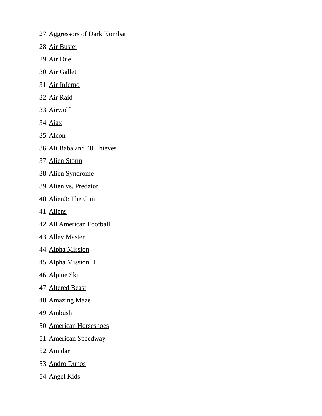- 27. Aggressors of Dark Kombat
- 28. Air Buster
- 29. Air Duel
- 30. Air Gallet
- 31. Air Inferno
- 32. Air Raid
- 33. Airwolf
- 34. Ajax
- 35. Alcon
- 36. Ali Baba and 40 Thieves
- 37. Alien Storm
- 38. Alien Syndrome
- 39. Alien vs. Predator
- 40. Alien3: The Gun
- 41. Aliens
- 42. All American Football
- 43. Alley Master
- 44. Alpha Mission
- 45. Alpha Mission II
- 46. Alpine Ski
- 47. Altered Beast
- 48. Amazing Maze
- 49. Ambush
- 50. American Horseshoes
- 51. American Speedway
- 52. Amidar
- 53. Andro Dunos
- 54. Angel Kids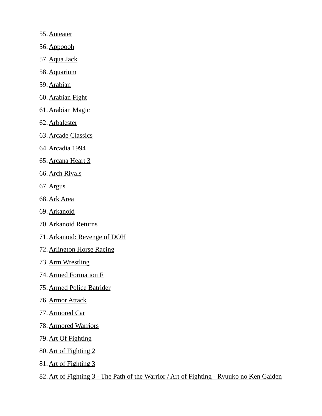- 55. Anteater
- 56. Appoooh
- 57. Aqua Jack
- 58. Aquarium
- 59. Arabian
- 60. Arabian Fight
- 61. Arabian Magic
- 62. Arbalester
- 63. Arcade Classics
- 64. Arcadia 1994
- 65. Arcana Heart 3
- 66. Arch Rivals
- 67. Argus
- 68. Ark Area
- 69. Arkanoid
- 70. Arkanoid Returns
- 71. Arkanoid: Revenge of DOH
- 72. Arlington Horse Racing
- 73. Arm Wrestling
- 74. Armed Formation F
- 75. Armed Police Batrider
- 76. Armor Attack
- 77. Armored Car
- 78. Armored Warriors
- 79. Art Of Fighting
- 80. Art of Fighting 2
- 81. Art of Fighting 3
- 82.Art of Fighting 3 The Path of the Warrior / Art of Fighting Ryuuko no Ken Gaiden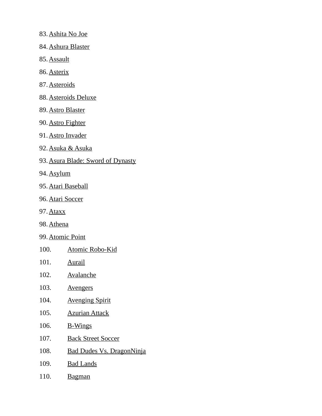- 83. Ashita No Joe
- 84. Ashura Blaster
- 85. Assault
- 86. Asterix
- 87. Asteroids
- 88. Asteroids Deluxe
- 89. Astro Blaster
- 90. Astro Fighter
- 91. Astro Invader
- 92. Asuka & Asuka
- 93. Asura Blade: Sword of Dynasty
- 94. Asylum
- 95. Atari Baseball
- 96. Atari Soccer
- 97. Ataxx
- 98. Athena
- 99. Atomic Point
- 100. Atomic Robo-Kid
- 101. Aurail
- 102. Avalanche
- 103. Avengers
- 104. Avenging Spirit
- 105. Azurian Attack
- 106. B-Wings
- 107. Back Street Soccer
- 108. Bad Dudes Vs. DragonNinja
- 109. Bad Lands
- 110. Bagman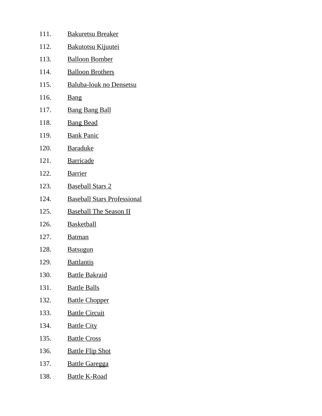| 111. | <b>Bakuretsu Breaker</b>           |
|------|------------------------------------|
| 112. | <u>Bakutotsu Kijuutei</u>          |
| 113. | <b>Balloon Bomber</b>              |
| 114. | <b>Balloon Brothers</b>            |
| 115. | Baluba-louk no Densetsu            |
| 116. | <b>Bang</b>                        |
| 117. | <b>Bang Bang Ball</b>              |
| 118. | <b>Bang Bead</b>                   |
| 119. | <b>Bank Panic</b>                  |
| 120. | <b>Baraduke</b>                    |
| 121. | <b>Barricade</b>                   |
| 122. | <b>Barrier</b>                     |
| 123. | <b>Baseball Stars 2</b>            |
| 124. | <b>Baseball Stars Professional</b> |
| 125. | <b>Baseball The Season II</b>      |
| 126. | <b>Basketball</b>                  |
| 127. | <b>Batman</b>                      |
| 128. | <b>Batsugun</b>                    |
| 129. | <u>Battlantis</u>                  |
| 130. | <b>Battle Bakraid</b>              |
| 131. | <b>Battle Balls</b>                |
| 132. | <b>Battle Chopper</b>              |
| 133. | <b>Battle Circuit</b>              |
| 134. | <b>Battle City</b>                 |
| 135. | <b>Battle Cross</b>                |
| 136. | <b>Battle Flip Shot</b>            |
| 137. | <b>Battle Garegga</b>              |
| 138. | <b>Battle K-Road</b>               |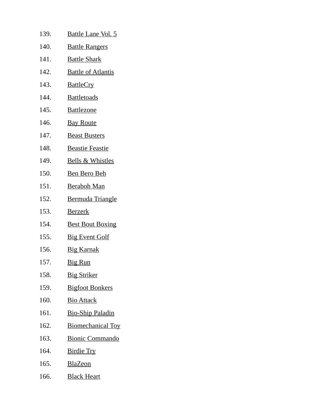| 139. | <u>Battle Lane Vol. 5</u>   |
|------|-----------------------------|
| 140. | <b>Battle Rangers</b>       |
| 141. | <b>Battle Shark</b>         |
| 142. | <b>Battle of Atlantis</b>   |
| 143. | <b>BattleCry</b>            |
| 144. | <b>Battletoads</b>          |
| 145. | <b>Battlezone</b>           |
| 146. | <b>Bay Route</b>            |
| 147. | <b>Beast Busters</b>        |
| 148. | <b>Beastie Feastie</b>      |
| 149. | <b>Bells &amp; Whistles</b> |
| 150. | <b>Ben Bero Beh</b>         |
| 151. | <b>Beraboh Man</b>          |
| 152. | Bermuda Triangle            |
| 153. | <b>Berzerk</b>              |
| 154. | <b>Best Bout Boxing</b>     |
| 155. | <b>Big Event Golf</b>       |
| 156. | <b>Big Karnak</b>           |
| 157. | <b>Big Run</b>              |
| 158. | <b>Big Striker</b>          |
| 159. | <b>Bigfoot Bonkers</b>      |
| 160. | <b>Bio Attack</b>           |
| 161. | <b>Bio-Ship Paladin</b>     |
| 162. | <b>Biomechanical Toy</b>    |
| 163. | <b>Bionic Commando</b>      |
| 164. | <u>Birdie Try</u>           |
| 165. | <b>BlaZeon</b>              |

166. Black Heart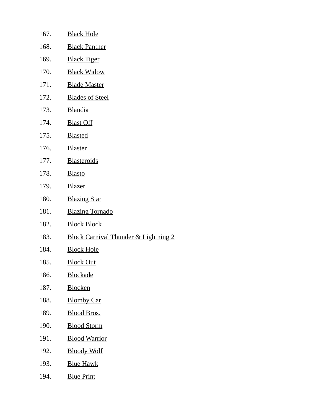| 167. | <b>Black Hole</b>                               |
|------|-------------------------------------------------|
| 168. | <b>Black Panther</b>                            |
| 169. | <b>Black Tiger</b>                              |
| 170. | <b>Black Widow</b>                              |
| 171. | <b>Blade Master</b>                             |
| 172. | <b>Blades of Steel</b>                          |
| 173. | <b>Blandia</b>                                  |
| 174. | <b>Blast Off</b>                                |
| 175. | <b>Blasted</b>                                  |
| 176. | <b>Blaster</b>                                  |
| 177. | <b>Blasteroids</b>                              |
| 178. | <b>Blasto</b>                                   |
| 179. | <b>Blazer</b>                                   |
| 180. | <b>Blazing Star</b>                             |
| 181. | <b>Blazing Tornado</b>                          |
| 182. | <b>Block Block</b>                              |
| 183. | <b>Block Carnival Thunder &amp; Lightning 2</b> |
| 184. | <b>Block Hole</b>                               |
| 185. | <b>Block Out</b>                                |
| 186. | <b>Blockade</b>                                 |
| 187. | <b>Blocken</b>                                  |
| 188. | <b>Blomby Car</b>                               |
| 189. | <b>Blood Bros.</b>                              |
| 190. | <b>Blood Storm</b>                              |
| 191. | <b>Blood Warrior</b>                            |
| 192. | <b>Bloody Wolf</b>                              |
| 193. | <u>Blue Hawk</u>                                |
| 194. | <b>Blue Print</b>                               |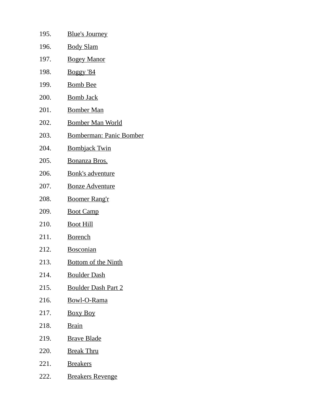| 195. | <u>Blue's Journey</u>          |
|------|--------------------------------|
| 196. | <b>Body Slam</b>               |
| 197. | <b>Bogey Manor</b>             |
| 198. | <u>Boggy '84</u>               |
| 199. | <b>Bomb Bee</b>                |
| 200. | <u>Bomb Jack</u>               |
| 201. | <b>Bomber Man</b>              |
| 202. | <b>Bomber Man World</b>        |
| 203. | <b>Bomberman: Panic Bomber</b> |
| 204. | <b>Bombjack Twin</b>           |
| 205. | Bonanza Bros.                  |
| 206. | <b>Bonk's adventure</b>        |
| 207. | <b>Bonze Adventure</b>         |
| 208. | <b>Boomer Rang'r</b>           |
| 209. | <b>Boot Camp</b>               |
| 210. | <u>Boot Hill</u>               |
| 211. | <b>Borench</b>                 |
| 212. | <b>Bosconian</b>               |
| 213. | <b>Bottom of the Ninth</b>     |
| 214. | <b>Boulder Dash</b>            |
| 215. | <b>Boulder Dash Part 2</b>     |
| 216. | <b>Bowl-O-Rama</b>             |
| 217. | <b>Boxy Boy</b>                |
| 218. | <b>Brain</b>                   |
| 219. | <b>Brave Blade</b>             |
| 220. | <b>Break Thru</b>              |
| 221. | <b>Breakers</b>                |
| 222. | <b>Breakers Revenge</b>        |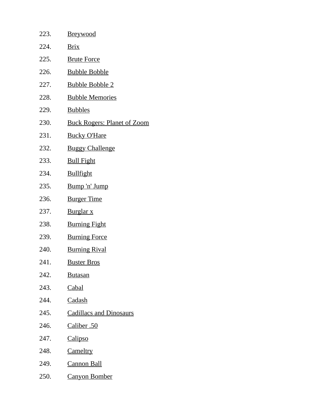| 223. | <b>Breywood</b>                    |
|------|------------------------------------|
| 224. | <u>Brix</u>                        |
| 225. | <b>Brute Force</b>                 |
| 226. | <u>Bubble Bobble</u>               |
| 227. | <u>Bubble Bobble 2</u>             |
| 228. | <b>Bubble Memories</b>             |
| 229. | <b>Bubbles</b>                     |
| 230. | <b>Buck Rogers: Planet of Zoom</b> |
| 231. | <b>Bucky O'Hare</b>                |
| 232. | <b>Buggy Challenge</b>             |
| 233. | <b>Bull Fight</b>                  |
| 234. | <b>Bullfight</b>                   |
| 235. | Bump 'n' Jump                      |
| 236. | <b>Burger Time</b>                 |
| 237. | <u>Burglar x</u>                   |
| 238. | <b>Burning Fight</b>               |
| 239. | <b>Burning Force</b>               |
| 240. | <b>Burning Rival</b>               |
| 241. | <u>Buster Bros</u>                 |
| 242. | <b>Butasan</b>                     |
| 243. | <b>Cabal</b>                       |
| 244. | Cadash                             |
| 245. | <b>Cadillacs and Dinosaurs</b>     |
| 246. | Caliber .50                        |
| 247. | <b>Calipso</b>                     |
| 248. | Cameltry                           |
| 249. | <b>Cannon Ball</b>                 |
| 250. | <u>Canyon Bomber</u>               |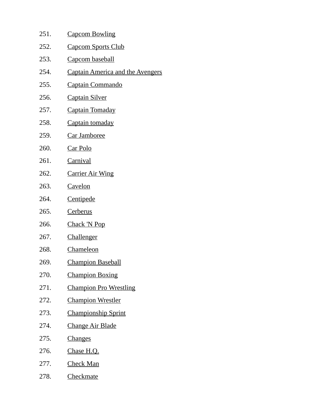| 251. | <b>Capcom Bowling</b>                   |
|------|-----------------------------------------|
| 252. | <b>Capcom Sports Club</b>               |
| 253. | Capcom baseball                         |
| 254. | <b>Captain America and the Avengers</b> |
| 255. | <b>Captain Commando</b>                 |
| 256. | <b>Captain Silver</b>                   |
| 257. | <b>Captain Tomaday</b>                  |
| 258. | Captain tomaday                         |
| 259. | Car Jamboree                            |
| 260. | <u>Car Polo</u>                         |
| 261. | <b>Carnival</b>                         |
| 262. | <b>Carrier Air Wing</b>                 |
| 263. | Cavelon                                 |
| 264. | <b>Centipede</b>                        |
| 265. | <u>Cerberus</u>                         |
| 266. | <b>Chack 'N Pop</b>                     |
| 267. | <b>Challenger</b>                       |
| 268. | Chameleon                               |
| 269. | <u>Champion Baseball</u>                |
| 270. | <b>Champion Boxing</b>                  |
| 271. | <b>Champion Pro Wrestling</b>           |
| 272. | <u>Champion Wrestler</u>                |
| 273. | <b>Championship Sprint</b>              |
| 274. | <b>Change Air Blade</b>                 |
| 275. | <b>Changes</b>                          |
| 276. | Chase H.Q.                              |
| 277. | <b>Check Man</b>                        |
| 278. | Checkmate                               |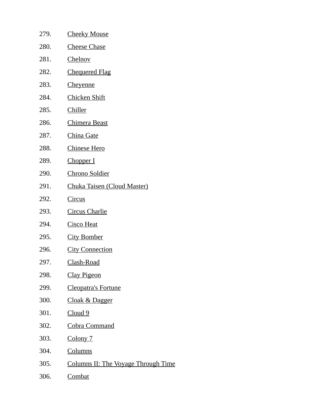| 279. | <b>Cheeky Mouse</b>                 |
|------|-------------------------------------|
| 280. | <b>Cheese Chase</b>                 |
| 281. | Chelnov                             |
| 282. | <b>Chequered Flag</b>               |
| 283. | <b>Cheyenne</b>                     |
| 284. | <b>Chicken Shift</b>                |
| 285. | <b>Chiller</b>                      |
| 286. | <u>Chimera Beast</u>                |
| 287. | China Gate                          |
| 288. | <b>Chinese Hero</b>                 |
| 289. | Chopper I                           |
| 290. | <b>Chrono Soldier</b>               |
| 291. | <b>Chuka Taisen (Cloud Master)</b>  |
| 292. | <u>Circus</u>                       |
| 293. | <b>Circus Charlie</b>               |
| 294. | <b>Cisco Heat</b>                   |
| 295. | <b>City Bomber</b>                  |
| 296. | <b>City Connection</b>              |
| 297. | <u>Clash-Road</u>                   |
| 298. | <b>Clay Pigeon</b>                  |
| 299. | <b>Cleopatra's Fortune</b>          |
| 300. | Cloak & Dagger                      |
| 301. | Cloud 9                             |
| 302. | <b>Cobra Command</b>                |
| 303. | <b>Colony</b> 7                     |
| 304. | <b>Columns</b>                      |
| 305. | Columns II: The Voyage Through Time |

306. Combat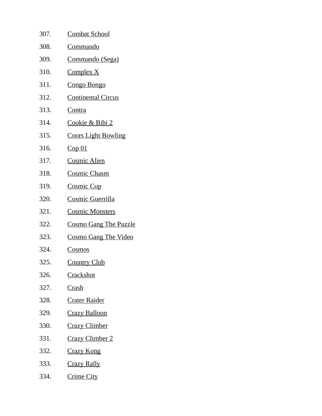| 307. | <b>Combat School</b>         |
|------|------------------------------|
| 308. | <u>Commando</u>              |
| 309. | Commando (Sega)              |
| 310. | <b>Complex X</b>             |
| 311. | Congo Bongo                  |
| 312. | <b>Continental Circus</b>    |
| 313. | Contra                       |
| 314. | <u>Cookie &amp; Bibi 2</u>   |
| 315. | <b>Coors Light Bowling</b>   |
| 316. | Cop <sub>01</sub>            |
| 317. | <b>Cosmic Alien</b>          |
| 318. | <b>Cosmic Chasm</b>          |
| 319. | <b>Cosmic Cop</b>            |
| 320. | Cosmic Guerrilla             |
| 321. | <b>Cosmic Monsters</b>       |
| 322. | <b>Cosmo Gang The Puzzle</b> |
| 323. | <b>Cosmo Gang The Video</b>  |
| 324. | <u>Cosmos</u>                |
| 325. | <b>Country Club</b>          |
| 326. | <b>Crackshot</b>             |
| 327. | Crash                        |
| 328. | <b>Crater Raider</b>         |
| 329. | <b>Crazy Balloon</b>         |
| 330. | <b>Crazy Climber</b>         |
| 331. | <b>Crazy Climber 2</b>       |
| 332. | <b>Crazy Kong</b>            |
| 333. | <b>Crazy Rally</b>           |
| 334. | <b>Crime City</b>            |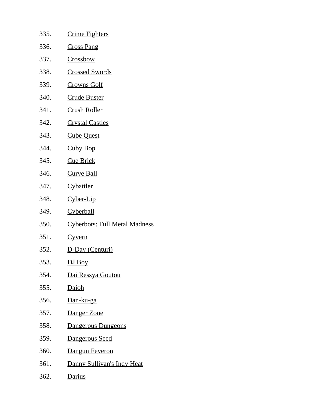| 335. | <u>Crime Fighters</u>                |
|------|--------------------------------------|
| 336. | <b>Cross Pang</b>                    |
| 337. | <b>Crossbow</b>                      |
| 338. | <b>Crossed Swords</b>                |
| 339. | <u>Crowns Golf</u>                   |
| 340. | <u>Crude Buster</u>                  |
| 341. | <u>Crush Roller</u>                  |
| 342. | <u>Crystal Castles</u>               |
| 343. | <b>Cube Quest</b>                    |
| 344. | <b>Cuby Bop</b>                      |
| 345. | <b>Cue Brick</b>                     |
| 346. | <u>Curve Ball</u>                    |
| 347. | Cybattler                            |
| 348. | <u>Cyber-Lip</u>                     |
| 349. | <b>Cyberball</b>                     |
| 350. | <b>Cyberbots: Full Metal Madness</b> |
| 351. | <u>Cyvern</u>                        |
| 352. | D-Day (Centuri)                      |
| 353. | DJ Boy                               |
| 354. | Dai Ressya Goutou                    |
| 355. | <b>Daioh</b>                         |
| 356. | <u>Dan-ku-ga</u>                     |
| 357. | Danger Zone                          |
| 358. | Dangerous Dungeons                   |
| 359. | Dangerous Seed                       |
| 360. | Dangun Feveron                       |
| 361. | Danny Sullivan's Indy Heat           |
| 362. | <b>Darius</b>                        |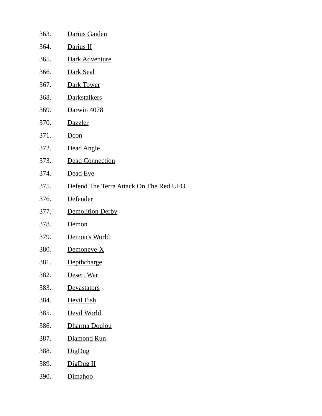| 363. | Darius Gaiden                          |
|------|----------------------------------------|
| 364. | Darius II                              |
| 365. | Dark Adventure                         |
| 366. | Dark Seal                              |
| 367. | Dark Tower                             |
| 368. | <b>Darkstalkers</b>                    |
| 369. | Darwin 4078                            |
| 370. | Dazzler                                |
| 371. | Dcon                                   |
| 372. | Dead Angle                             |
| 373. | <b>Dead Connection</b>                 |
| 374. | <u>Dead Eye</u>                        |
| 375. | Defend The Terra Attack On The Red UFO |
| 376. | Defender                               |
| 377. | <b>Demolition Derby</b>                |
| 378. | <b>Demon</b>                           |
| 379. | Demon's World                          |
| 380. | <u>Demoneye-X</u>                      |
| 381. | Depthcharge                            |
| 382. | Desert War                             |
| 383. | <u>Devastators</u>                     |
| 384. | <u>Devil Fish</u>                      |
| 385. | Devil World                            |
| 386. | Dharma Doujou                          |
| 387. | Diamond Run                            |
| 388. | <u>DigDug</u>                          |
| 389. | DigDug II                              |
| 390. | Dimahoo                                |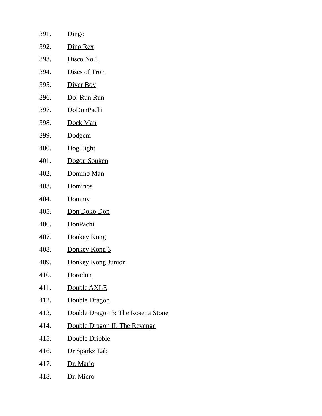| 391. | Dingo                              |
|------|------------------------------------|
| 392. | Dino Rex                           |
| 393. | Disco No.1                         |
| 394. | <b>Discs of Tron</b>               |
| 395. | Diver Boy                          |
| 396. | Do! Run Run                        |
| 397. | <u>DoDonPachi</u>                  |
| 398. | Dock Man                           |
| 399. | <b>Dodgem</b>                      |
| 400. | Dog Fight                          |
| 401. | Dogou Souken                       |
| 402. | Domino Man                         |
| 403. | <b>Dominos</b>                     |
| 404. | Dommy                              |
| 405. | <u>Don Doko Don</u>                |
| 406. | DonPachi                           |
| 407. | <u>Donkey Kong</u>                 |
| 408. | Donkey Kong 3                      |
| 409. | Donkey Kong Junior                 |
| 410. | Dorodon                            |
| 411. | Double AXLE                        |
| 412. | Double Dragon                      |
| 413. | Double Dragon 3: The Rosetta Stone |
| 414. | Double Dragon II: The Revenge      |
| 415. | Double Dribble                     |
| 416. | Dr Sparkz Lab                      |
| 417. | Dr. Mario                          |

418. Dr. Micro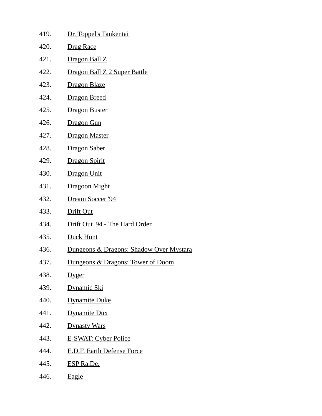| 419. | Dr. Toppel's Tankentai                  |
|------|-----------------------------------------|
| 420. | Drag Race                               |
| 421. | Dragon Ball Z                           |
| 422. | Dragon Ball Z 2 Super Battle            |
| 423. | Dragon Blaze                            |
| 424. | <b>Dragon Breed</b>                     |
| 425. | <b>Dragon Buster</b>                    |
| 426. | Dragon Gun                              |
| 427. | <b>Dragon Master</b>                    |
| 428. | Dragon Saber                            |
| 429. | <b>Dragon Spirit</b>                    |
| 430. | Dragon Unit                             |
| 431. | Dragoon Might                           |
| 432. | Dream Soccer '94                        |
| 433. | Drift Out                               |
| 434. | Drift Out '94 - The Hard Order          |
| 435. | Duck Hunt                               |
| 436. | Dungeons & Dragons: Shadow Over Mystara |
| 437. | Dungeons & Dragons: Tower of Doom       |
| 438. | <u>Dyger</u>                            |
| 439. | <u>Dynamic Ski</u>                      |
| 440. | <b>Dynamite Duke</b>                    |
| 441. | <b>Dynamite Dux</b>                     |
| 442. | <b>Dynasty Wars</b>                     |
| 443. | <b>E-SWAT: Cyber Police</b>             |
| 444. | <b>E.D.F. Earth Defense Force</b>       |
| 445. | <b>ESP Ra.De.</b>                       |
| 446. | Eagle                                   |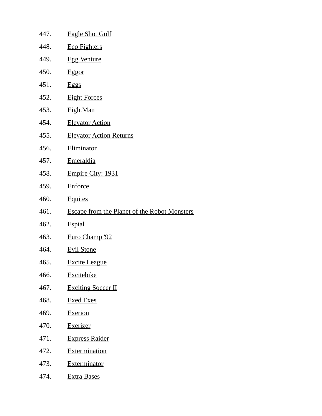| 447. | <b>Eagle Shot Golf</b>                              |
|------|-----------------------------------------------------|
| 448. | <b>Eco Fighters</b>                                 |
| 449. | <b>Egg Venture</b>                                  |
| 450. | <b>Eggor</b>                                        |
| 451. | <b>Eggs</b>                                         |
| 452. | <b>Eight Forces</b>                                 |
| 453. | <b>EightMan</b>                                     |
| 454. | <b>Elevator Action</b>                              |
| 455. | <b>Elevator Action Returns</b>                      |
| 456. | Eliminator                                          |
| 457. | <b>Emeraldia</b>                                    |
| 458. | Empire City: 1931                                   |
| 459. | <b>Enforce</b>                                      |
| 460. | <b>Equites</b>                                      |
| 461. | <b>Escape from the Planet of the Robot Monsters</b> |
| 462. | <b>Espial</b>                                       |
| 463. | Euro Champ '92                                      |
| 464. | <b>Evil Stone</b>                                   |
| 465. | <b>Excite League</b>                                |
| 466. | <b>Excitebike</b>                                   |
| 467. | <b>Exciting Soccer II</b>                           |
| 468. | <b>Exed Exes</b>                                    |
| 469. | <b>Exerion</b>                                      |
| 470. | <b>Exerizer</b>                                     |
| 471. | <b>Express Raider</b>                               |
| 472. | <b>Extermination</b>                                |
| 473. | <b>Exterminator</b>                                 |
| 474. | <b>Extra Bases</b>                                  |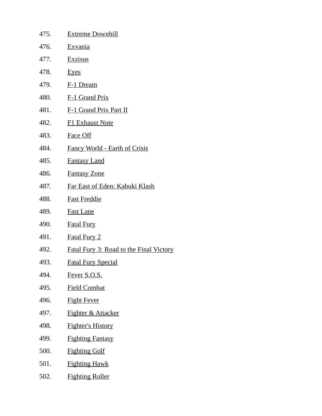| 475. | <b>Extreme Downhill</b>                        |
|------|------------------------------------------------|
| 476. | <b>Exvania</b>                                 |
| 477. | <b>Exzisus</b>                                 |
| 478. | <b>Eyes</b>                                    |
| 479. | F-1 Dream                                      |
| 480. | <b>F-1 Grand Prix</b>                          |
| 481. | <b>F-1 Grand Prix Part II</b>                  |
| 482. | <b>F1 Exhaust Note</b>                         |
| 483. | <b>Face Off</b>                                |
| 484. | Fancy World - Earth of Crisis                  |
| 485. | <b>Fantasy Land</b>                            |
| 486. | <b>Fantasy Zone</b>                            |
| 487. | <u>Far East of Eden: Kabuki Klash</u>          |
| 488. | <b>Fast Freddie</b>                            |
| 489. | <b>Fast Lane</b>                               |
| 490. | <b>Fatal Fury</b>                              |
| 491. | <b>Fatal Fury 2</b>                            |
| 492. | <b>Fatal Fury 3: Road to the Final Victory</b> |
| 493. | <b>Fatal Fury Special</b>                      |
| 494. | Fever S.O.S.                                   |
| 495. | <b>Field Combat</b>                            |
| 496. | <b>Fight Fever</b>                             |
| 497. | <b>Fighter &amp; Attacker</b>                  |
| 498. | <b>Fighter's History</b>                       |
| 499. | <b>Fighting Fantasy</b>                        |
| 500. | <b>Fighting Golf</b>                           |
| 501. | <b>Fighting Hawk</b>                           |
| 502. | <b>Fighting Roller</b>                         |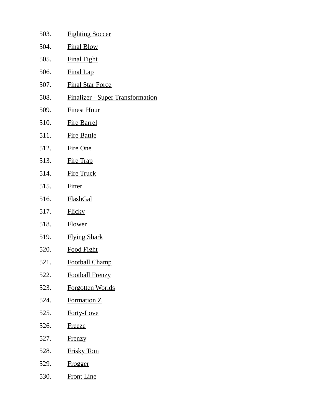| 503. | <b>Fighting Soccer</b>                  |
|------|-----------------------------------------|
| 504. | <b>Final Blow</b>                       |
| 505. | <b>Final Fight</b>                      |
| 506. | <b>Final Lap</b>                        |
| 507. | <b>Final Star Force</b>                 |
| 508. | <b>Finalizer - Super Transformation</b> |
| 509. | <b>Finest Hour</b>                      |
| 510. | <b>Fire Barrel</b>                      |
| 511. | <b>Fire Battle</b>                      |
| 512. | <b>Fire One</b>                         |
| 513. | <b>Fire Trap</b>                        |
| 514. | <b>Fire Truck</b>                       |
| 515. | <b>Fitter</b>                           |
| 516. | <b>FlashGal</b>                         |
| 517. | <b>Flicky</b>                           |
| 518. | <b>Flower</b>                           |
| 519. | <b>Flying Shark</b>                     |
| 520. | <b>Food Fight</b>                       |
| 521. | <b>Football Champ</b>                   |
| 522. | <b>Football Frenzy</b>                  |
| 523. | <b>Forgotten Worlds</b>                 |
| 524. | <b>Formation Z</b>                      |
| 525. | Forty-Love                              |
| 526. | <u>Freeze</u>                           |
| 527. | <b>Frenzy</b>                           |
| 528. | <b>Frisky Tom</b>                       |
| 529. | Frogger                                 |
| 530. | <b>Front Line</b>                       |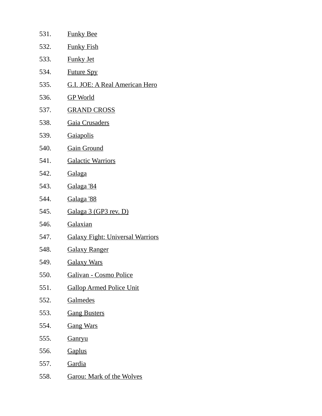| 531. | <b>Funky Bee</b>                        |
|------|-----------------------------------------|
| 532. | <b>Funky Fish</b>                       |
| 533. | <b>Funky Jet</b>                        |
| 534. | <b>Future Spy</b>                       |
| 535. | <u>G.I. JOE: A Real American Hero</u>   |
| 536. | <b>GP World</b>                         |
| 537. | <u>GRAND CROSS</u>                      |
| 538. | <b>Gaia Crusaders</b>                   |
| 539. | <b>Gaiapolis</b>                        |
| 540. | <b>Gain Ground</b>                      |
| 541. | <b>Galactic Warriors</b>                |
| 542. | <b>Galaga</b>                           |
| 543. | Galaga '84                              |
| 544. | <u>Galaga '88</u>                       |
| 545. | Galaga 3 (GP3 rev. D)                   |
| 546. | Galaxian                                |
| 547. | <b>Galaxy Fight: Universal Warriors</b> |
| 548. | <b>Galaxy Ranger</b>                    |
| 549  | <u>Galaxy Wars</u>                      |
| 550. | Galivan - Cosmo Police                  |
| 551. | <b>Gallop Armed Police Unit</b>         |
| 552. | <u>Galmedes</u>                         |
| 553. | <b>Gang Busters</b>                     |
| 554. | <b>Gang Wars</b>                        |
| 555. | <u>Ganryu</u>                           |
| 556. | <b>Gaplus</b>                           |
| 557. | <b>Gardia</b>                           |
| 558. | <b>Garou: Mark of the Wolves</b>        |
|      |                                         |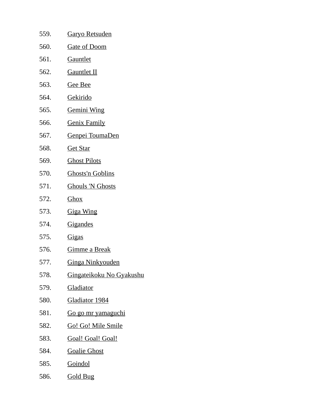| 559. | <u>Garyo Retsuden</u>     |
|------|---------------------------|
| 560. | <u>Gate of Doom</u>       |
| 561. | <u>Gauntlet</u>           |
| 562. | <u>Gauntlet II</u>        |
| 563. | <u>Gee Bee</u>            |
| 564. | <u>Gekirido</u>           |
| 565. | <u>Gemini Wing</u>        |
| 566. | <u>Genix Family</u>       |
| 567. | Genpei ToumaDen           |
| 568. | <b>Get Star</b>           |
| 569. | <b>Ghost Pilots</b>       |
| 570. | <u>Ghosts'n Goblins</u>   |
| 571. | <b>Ghouls 'N Ghosts</b>   |
| 572. | <u>Ghox</u>               |
| 573. | <b>Giga Wing</b>          |
| 574. | <u>Gigandes</u>           |
| 575. | <u>Gigas</u>              |
| 576. | <u>Gimme a Break</u>      |
| 577. | <b>Ginga Ninkyouden</b>   |
| 578. | Gingateikoku No Gyakushu  |
| 579. | <b>Gladiator</b>          |
| 580. | Gladiator 1984            |
| 581. | <u>Go go mr yamaguchi</u> |
| 582. | <u>Go! Go! Mile Smile</u> |
| 583. | Goal! Goal! Goal!         |
| 584. | <b>Goalie Ghost</b>       |
| 585. | Goindol                   |
|      |                           |

586. Gold Bug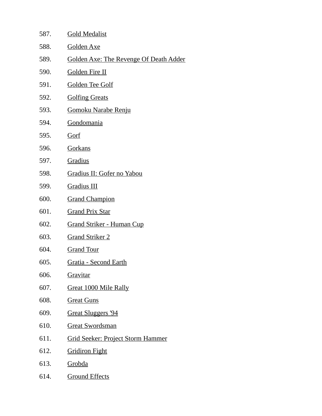| 587. | <b>Gold Medalist</b>                          |
|------|-----------------------------------------------|
| 588. | Golden Axe                                    |
| 589. | <b>Golden Axe: The Revenge Of Death Adder</b> |
| 590. | <b>Golden Fire II</b>                         |
| 591. | Golden Tee Golf                               |
| 592. | <b>Golfing Greats</b>                         |
| 593. | <u>Gomoku Narabe Renju</u>                    |
| 594. | <b>Gondomania</b>                             |
| 595. | Gorf                                          |
| 596. | Gorkans                                       |
| 597. | Gradius                                       |
| 598. | Gradius II: Gofer no Yabou                    |
| 599. | <b>Gradius III</b>                            |
| 600. | <b>Grand Champion</b>                         |
| 601. | <b>Grand Prix Star</b>                        |
| 602. | <b>Grand Striker - Human Cup</b>              |
| 603. | <b>Grand Striker 2</b>                        |
| 604. | <b>Grand Tour</b>                             |
| 605. | <u> Gratia - Second Earth</u>                 |
| 606. | Gravitar                                      |
| 607. | Great 1000 Mile Rally                         |
| 608. | <b>Great Guns</b>                             |
| 609. | Great Sluggers '94                            |
| 610. | <b>Great Swordsman</b>                        |
| 611. | <b>Grid Seeker: Project Storm Hammer</b>      |
| 612. | <b>Gridiron Fight</b>                         |
| 613. | <b>Grobda</b>                                 |
| 614. | <b>Ground Effects</b>                         |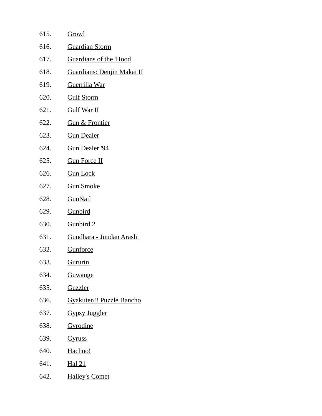| 615. | Growl                            |
|------|----------------------------------|
| 616. | <b>Guardian Storm</b>            |
| 617. | <b>Guardians of the 'Hood</b>    |
| 618. | Guardians: Denjin Makai II       |
| 619. | <b>Guerrilla War</b>             |
| 620. | <b>Gulf Storm</b>                |
| 621. | <u>Gulf War II</u>               |
| 622. | <b>Gun &amp; Frontier</b>        |
| 623. | <b>Gun Dealer</b>                |
| 624. | Gun Dealer '94                   |
| 625. | <b>Gun Force II</b>              |
| 626. | <b>Gun Lock</b>                  |
| 627. | Gun.Smoke                        |
| 628. | <b>GunNail</b>                   |
| 629. | <b>Gunbird</b>                   |
| 630. | <b>Gunbird 2</b>                 |
| 631. | <u> Gundhara - Juudan Arashi</u> |
| 632. | <b>Gunforce</b>                  |
| 633. | <u>Gururin</u>                   |
| 634. | <u>Guwange</u>                   |
| 635. | <b>Guzzler</b>                   |
| 636. | <b>Gyakuten!! Puzzle Bancho</b>  |
| 637. | <b>Gypsy Juggler</b>             |
| 638. | Gyrodine                         |
| 639. | <b>Gyruss</b>                    |
| 640. | Hachoo!                          |
| 641. | Hal 21                           |
| 642. | <b>Halley's Comet</b>            |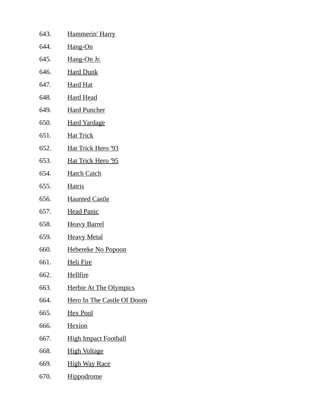| 643. | Hammerin' Harry               |
|------|-------------------------------|
| 644. | Hang-On                       |
| 645. | Hang-On Jr.                   |
| 646. | <b>Hard Dunk</b>              |
| 647. | <u>Hard Hat</u>               |
| 648. | <b>Hard Head</b>              |
| 649. | <b>Hard Puncher</b>           |
| 650. | <b>Hard Yardage</b>           |
| 651. | <u>Hat Trick</u>              |
| 652. | Hat Trick Hero '93            |
| 653. | Hat Trick Hero '95            |
| 654. | <b>Hatch Catch</b>            |
| 655. | <b>Hatris</b>                 |
| 656. | <b>Haunted Castle</b>         |
| 657. | <b>Head Panic</b>             |
| 658. | <b>Heavy Barrel</b>           |
| 659. | <b>Heavy Metal</b>            |
| 660. | <u>Hebereke No Popoon</u>     |
| 661. | <u>Heli Fire</u>              |
| 662. | <b>Hellfire</b>               |
| 663. | <b>Herbie At The Olympics</b> |
| 664. | Hero In The Castle Of Doom    |
| 665. | <u>Hex Pool</u>               |
| 666. | <b>Hexion</b>                 |
| 667. | <b>High Impact Football</b>   |
| 668. | <b>High Voltage</b>           |
| 669. | <b>High Way Race</b>          |
| 670. | Hippodrome                    |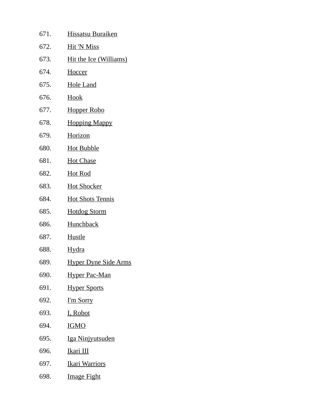| 671. | <b>Hissatsu Buraiken</b>    |
|------|-----------------------------|
| 672. | <b>Hit 'N Miss</b>          |
| 673. | Hit the Ice (Williams)      |
| 674. | <b>Hoccer</b>               |
| 675. | <b>Hole Land</b>            |
| 676. | Hook                        |
| 677. | <b>Hopper Robo</b>          |
| 678. | <b>Hopping Mappy</b>        |
| 679. | Horizon                     |
| 680. | <b>Hot Bubble</b>           |
| 681. | <b>Hot Chase</b>            |
| 682. | <b>Hot Rod</b>              |
| 683. | <b>Hot Shocker</b>          |
| 684. | <b>Hot Shots Tennis</b>     |
| 685. | <b>Hotdog Storm</b>         |
| 686. | <b>Hunchback</b>            |
| 687. | <b>Hustle</b>               |
| 688. | <b>Hydra</b>                |
| 689. | <b>Hyper Dyne Side Arms</b> |
| 690. | <u>Hyper Pac-Man</u>        |
| 691. | <b>Hyper Sports</b>         |
| 692. | <u>I'm Sorry</u>            |
| 693. | <u>I, Robot</u>             |
| 694. | <u>IGMO</u>                 |
| 695. | <u>Iga Ninjyutsuden</u>     |
| 696. | <u>Ikari III</u>            |
| 697. | <u> Ikari Warriors</u>      |
| 698. | <u>Image Fight</u>          |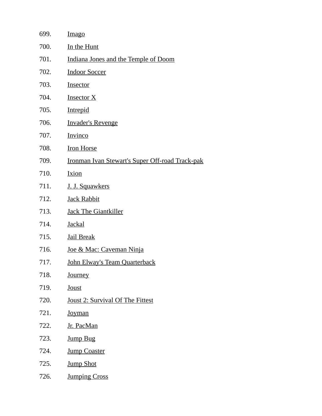| <b>Imago</b>                                    |
|-------------------------------------------------|
| In the Hunt                                     |
| Indiana Jones and the Temple of Doom            |
| <b>Indoor Soccer</b>                            |
| Insector                                        |
| <b>Insector X</b>                               |
| <b>Intrepid</b>                                 |
| <b>Invader's Revenge</b>                        |
| Invinco                                         |
| <b>Iron Horse</b>                               |
| Ironman Ivan Stewart's Super Off-road Track-pak |
| Ixion                                           |
| J. J. Squawkers                                 |
| <b>Jack Rabbit</b>                              |
| <b>Jack The Giantkiller</b>                     |
| <b>Jackal</b>                                   |
| <b>Jail Break</b>                               |
| Joe & Mac: Caveman Ninja                        |
| <u> John Elway's Team Quarterback</u>           |
| <b>Journey</b>                                  |
| <b>Joust</b>                                    |
| Joust 2: Survival Of The Fittest                |
| <b>Joyman</b>                                   |
| Jr. PacMan                                      |
| <b>Jump Bug</b>                                 |
| <b>Jump Coaster</b>                             |
| <b>Jump Shot</b>                                |
| <b>Jumping Cross</b>                            |
|                                                 |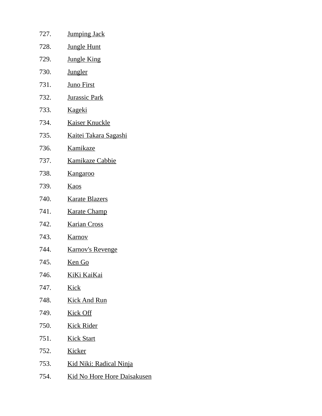| 727. | <b>Jumping Jack</b>                |
|------|------------------------------------|
| 728. | <b>Jungle Hunt</b>                 |
| 729. | <b>Jungle King</b>                 |
| 730. | <b>Jungler</b>                     |
| 731. | <b>Juno First</b>                  |
| 732. | <b>Jurassic Park</b>               |
| 733. | <u>Kageki</u>                      |
| 734. | <b>Kaiser Knuckle</b>              |
| 735. | Kaitei Takara Sagashi              |
| 736. | Kamikaze                           |
| 737. | <b>Kamikaze Cabbie</b>             |
| 738. | <b>Kangaroo</b>                    |
| 739. | <b>Kaos</b>                        |
| 740. | <b>Karate Blazers</b>              |
| 741. | <b>Karate Champ</b>                |
| 742. | <b>Karian Cross</b>                |
| 743. | <b>Karnov</b>                      |
| 744. | <b>Karnov's Revenge</b>            |
| 745. | <u>Ken Go</u>                      |
| 746. | KiKi KaiKai                        |
| 747. | <b>Kick</b>                        |
| 748. | <b>Kick And Run</b>                |
| 749. | <b>Kick Off</b>                    |
| 750. | <b>Kick Rider</b>                  |
| 751. | <b>Kick Start</b>                  |
| 752. | <b>Kicker</b>                      |
| 753. | <u> Kid Niki: Radical Ninja</u>    |
| 754. | <b>Kid No Hore Hore Daisakusen</b> |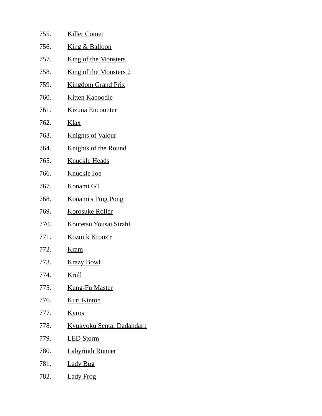| 755. | <b>Killer Comet</b>              |
|------|----------------------------------|
| 756. | <u>King &amp; Balloon</u>        |
| 757. | <u>King of the Monsters</u>      |
| 758. | <b>King of the Monsters 2</b>    |
| 759. | <b>Kingdom Grand Prix</b>        |
| 760. | <u>Kitten Kaboodle</u>           |
| 761. | <u>Kizuna Encounter</u>          |
| 762. | <u>Klax</u>                      |
| 763. | <b>Knights of Valour</b>         |
| 764. | <u>Knights of the Round</u>      |
| 765. | <b>Knuckle Heads</b>             |
| 766. | <u>Knuckle Joe</u>               |
| 767. | Konami GT                        |
| 768. | <b>Konami's Ping Pong</b>        |
| 769. | <b>Korosuke Roller</b>           |
| 770. | Koutetsu Yousai Strahl           |
| 771. | Kozmik Krooz'r                   |
| 772. | <b>Kram</b>                      |
| 773. | <u>Krazy Bowl</u>                |
| 774. | <u>Krull</u>                     |
| 775. | <u>Kung-Fu Master</u>            |
| 776. | <b>Kuri Kinton</b>               |
| 777. | <b>Kyros</b>                     |
| 778. | <u>Kyukyoku Sentai Dadandarn</u> |
| 779. | <b>LED Storm</b>                 |
| 780. | <b>Labyrinth Runner</b>          |
| 781. | <b>Lady Bug</b>                  |
| 782. | <b>Lady Frog</b>                 |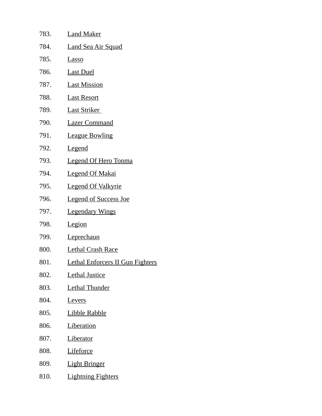| 783. | <b>Land Maker</b>                |
|------|----------------------------------|
| 784. | <b>Land Sea Air Squad</b>        |
| 785. | <u>Lasso</u>                     |
| 786. | <b>Last Duel</b>                 |
| 787. | <b>Last Mission</b>              |
| 788. | <b>Last Resort</b>               |
| 789. | <b>Last Striker</b>              |
| 790. | <b>Lazer Command</b>             |
| 791. | <b>League Bowling</b>            |
| 792. | <u>Legend</u>                    |
| 793. | <b>Legend Of Hero Tonma</b>      |
| 794. | <b>Legend Of Makai</b>           |
| 795. | <b>Legend Of Valkyrie</b>        |
| 796. | <b>Legend of Success Joe</b>     |
| 797. | <b>Legendary Wings</b>           |
| 798. | Legion                           |
| 799. | Leprechaun                       |
| 800. | <b>Lethal Crash Race</b>         |
| 801. | Lethal Enforcers II Gun Fighters |
| 802. | <b>Lethal Justice</b>            |
| 803. | <b>Lethal Thunder</b>            |
| 804. | <b>Levers</b>                    |
| 805. | <b>Libble Rabble</b>             |
| 806. | <b>Liberation</b>                |
| 807. | <b>Liberator</b>                 |
| 808. | <b>Lifeforce</b>                 |
| 809. | <b>Light Bringer</b>             |
| 810. | <b>Lightning Fighters</b>        |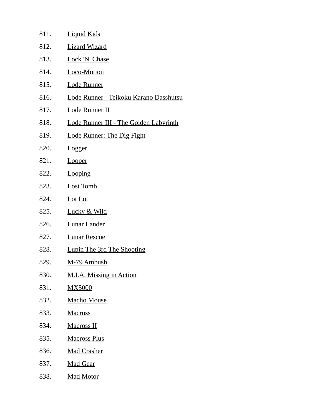| 811. | <b>Liquid Kids</b>                     |
|------|----------------------------------------|
| 812. | <b>Lizard Wizard</b>                   |
| 813. | <b>Lock 'N' Chase</b>                  |
| 814. | Loco-Motion                            |
| 815. | <b>Lode Runner</b>                     |
| 816. | Lode Runner - Teikoku Karano Dasshutsu |
| 817. | Lode Runner II                         |
| 818. | Lode Runner III - The Golden Labyrinth |
| 819. | <b>Lode Runner: The Dig Fight</b>      |
| 820. | <b>Logger</b>                          |
| 821. | <b>Looper</b>                          |
| 822. | Looping                                |
| 823. | <b>Lost Tomb</b>                       |
| 824. | Lot Lot                                |
| 825. | Lucky & Wild                           |
| 826. | <b>Lunar Lander</b>                    |
| 827. | <b>Lunar Rescue</b>                    |
| 828. | Lupin The 3rd The Shooting             |
| 829. | M-79 Ambush                            |
| 830. | M.I.A. Missing in Action               |
| 831. | <b>MX5000</b>                          |
| 832. | <b>Macho Mouse</b>                     |
| 833. | <b>Macross</b>                         |
| 834. | <b>Macross II</b>                      |
| 835. | <b>Macross Plus</b>                    |
| 836. | <b>Mad Crasher</b>                     |
| 837. | <b>Mad Gear</b>                        |
| 838. | Mad Motor                              |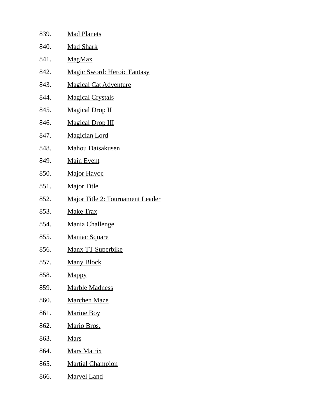| 839. | <b>Mad Planets</b>                      |
|------|-----------------------------------------|
| 840. | <b>Mad Shark</b>                        |
| 841. | <u>MagMax</u>                           |
| 842. | <b>Magic Sword: Heroic Fantasy</b>      |
| 843. | <b>Magical Cat Adventure</b>            |
| 844. | <b>Magical Crystals</b>                 |
| 845. | <b>Magical Drop II</b>                  |
| 846. | <b>Magical Drop III</b>                 |
| 847. | <b>Magician Lord</b>                    |
| 848. | <b>Mahou Daisakusen</b>                 |
| 849. | <b>Main Event</b>                       |
| 850. | <b>Major Havoc</b>                      |
| 851. | <b>Major Title</b>                      |
| 852. | <b>Major Title 2: Tournament Leader</b> |
| 853. | <b>Make Trax</b>                        |
| 854. | <b>Mania Challenge</b>                  |
| 855. | <b>Maniac Square</b>                    |
| 856. | Manx TT Superbike                       |
| 857. | <u>Many Block</u>                       |
| 858. | <b>Mappy</b>                            |
| 859. | <u>Marble Madness</u>                   |
| 860. | <b>Marchen Maze</b>                     |
| 861. | <b>Marine Boy</b>                       |
| 862. | <u>Mario Bros.</u>                      |
| 863. | <b>Mars</b>                             |
| 864. | <b>Mars Matrix</b>                      |
| 865. | <b>Martial Champion</b>                 |
| 866. | <b>Marvel Land</b>                      |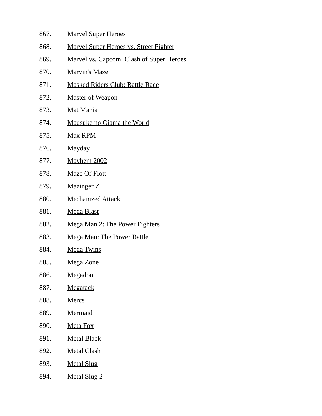| 867. | <b>Marvel Super Heroes</b>                      |
|------|-------------------------------------------------|
| 868. | <b>Marvel Super Heroes vs. Street Fighter</b>   |
| 869. | <b>Marvel vs. Capcom: Clash of Super Heroes</b> |
| 870. | <b>Marvin's Maze</b>                            |
| 871. | <b>Masked Riders Club: Battle Race</b>          |
| 872. | <b>Master of Weapon</b>                         |
| 873. | <b>Mat Mania</b>                                |
| 874. | Mausuke no Ojama the World                      |
| 875. | Max RPM                                         |
| 876. | <u>Mayday</u>                                   |
| 877. | <b>Mayhem 2002</b>                              |
| 878. | <b>Maze Of Flott</b>                            |
| 879. | <b>Mazinger Z</b>                               |
| 880. | <b>Mechanized Attack</b>                        |
| 881. | <u>Mega Blast</u>                               |
| 882. | <b>Mega Man 2: The Power Fighters</b>           |
| 883. | <b>Mega Man: The Power Battle</b>               |
| 884. | <b>Mega Twins</b>                               |
| 885. | Mega Zone                                       |
| 886. | Megadon                                         |
| 887. | Megatack                                        |
| 888. | <b>Mercs</b>                                    |
| 889. | Mermaid                                         |
| 890. | Meta Fox                                        |
| 891. | <b>Metal Black</b>                              |
| 892. | <b>Metal Clash</b>                              |
| 893. | <b>Metal Slug</b>                               |
| 894. | <b>Metal Slug 2</b>                             |
|      |                                                 |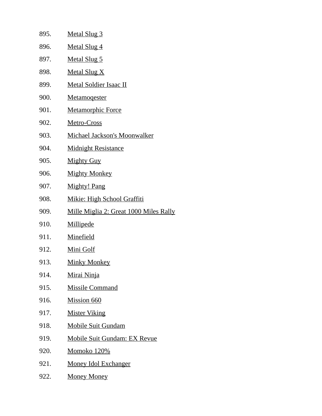| 895. | <b>Metal Slug 3</b>                    |
|------|----------------------------------------|
| 896. | <b>Metal Slug 4</b>                    |
| 897. | <b>Metal Slug 5</b>                    |
| 898. | <b>Metal Slug X</b>                    |
| 899. | <b>Metal Soldier Isaac II</b>          |
| 900. | <b>Metamogester</b>                    |
| 901. | <b>Metamorphic Force</b>               |
| 902. | Metro-Cross                            |
| 903. | Michael Jackson's Moonwalker           |
| 904. | <b>Midnight Resistance</b>             |
| 905. | <b>Mighty Guy</b>                      |
| 906. | <b>Mighty Monkey</b>                   |
| 907. | <b>Mighty! Pang</b>                    |
| 908. | <b>Mikie: High School Graffiti</b>     |
| 909. | Mille Miglia 2: Great 1000 Miles Rally |
| 910. | Millipede                              |
| 911. | <b>Minefield</b>                       |
| 912. | Mini Golf                              |
| 913. | <b>Minky Monkey</b>                    |
| 914. | Mirai Ninja                            |
| 915. | <b>Missile Command</b>                 |
| 916. | <b>Mission 660</b>                     |
| 917. | <b>Mister Viking</b>                   |
| 918. | <b>Mobile Suit Gundam</b>              |
| 919. | <b>Mobile Suit Gundam: EX Revue</b>    |
| 920. | <b>Momoko 120%</b>                     |
| 921. | <u>Money Idol Exchanger</u>            |
| 922. | <b>Money Money</b>                     |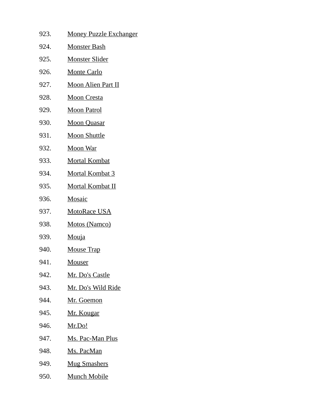| 923. | <b>Money Puzzle Exchanger</b> |
|------|-------------------------------|
| 924. | <u>Monster Bash</u>           |
| 925. | <u>Monster Slider</u>         |
| 926. | <u>Monte Carlo</u>            |
| 927. | <u>Moon Alien Part II</u>     |
| 928. | <b>Moon Cresta</b>            |
| 929. | <u>Moon Patrol</u>            |
| 930. | <b>Moon Quasar</b>            |
| 931. | <b>Moon Shuttle</b>           |
| 932. | <u>Moon War</u>               |
| 933. | <b>Mortal Kombat</b>          |
| 934. | <u>Mortal Kombat 3</u>        |
| 935. | <u>Mortal Kombat II</u>       |
| 936. | <b>Mosaic</b>                 |
| 937. | <b>MotoRace USA</b>           |
| 938. | <b>Motos (Namco)</b>          |
| 939. | <b>Mouja</b>                  |
| 940. | <b>Mouse Trap</b>             |
| 941. | <u>Mouser</u>                 |
| 942. | <u> Mr. Do's Castle</u>       |
| 943. | <u>Mr. Do's Wild Ride</u>     |
| 944. | <u>Mr. Goemon</u>             |
| 945. | <u>Mr. Kougar</u>             |
| 946. | <u>Mr.Do!</u>                 |
| 947. | <u>Ms. Pac-Man Plus</u>       |
| 948. | <u>Ms. PacMan</u>             |
| 949. | <b>Mug Smashers</b>           |
| 950. | <u>Munch Mobile</u>           |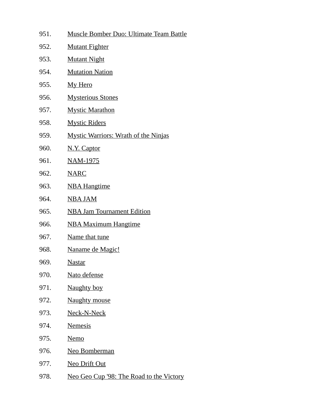- 951. Muscle Bomber Duo: Ultimate Team Battle
- 952. Mutant Fighter
- 953. Mutant Night
- 954. Mutation Nation
- 955. My Hero
- 956. Mysterious Stones
- 957. Mystic Marathon
- 958. Mystic Riders
- 959. Mystic Warriors: Wrath of the Ninjas
- 960. N.Y. Captor
- 961. NAM-1975
- 962. NARC
- 963. NBA Hangtime
- 964. NBA JAM
- 965. NBA Jam Tournament Edition
- 966. NBA Maximum Hangtime
- 967. Name that tune
- 968. Naname de Magic!
- 969. Nastar
- 970. Nato defense
- 971. Naughty boy
- 972. Naughty mouse
- 973. Neck-N-Neck
- 974. Nemesis
- 975. Nemo
- 976. Neo Bomberman
- 977. Neo Drift Out
- 978. Neo Geo Cup '98: The Road to the Victory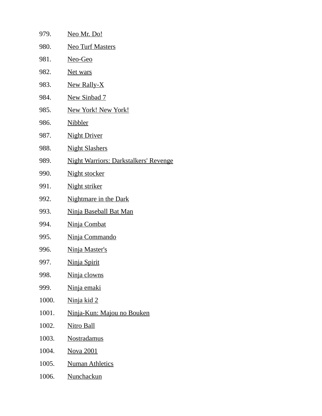| 979.  | <u>Neo Mr. Do!</u>                           |
|-------|----------------------------------------------|
| 980.  | <b>Neo Turf Masters</b>                      |
| 981.  | Neo-Geo                                      |
| 982.  | <u>Net wars</u>                              |
| 983.  | New Rally-X                                  |
| 984.  | <b>New Sinbad 7</b>                          |
| 985.  | <b>New York! New York!</b>                   |
| 986.  | <b>Nibbler</b>                               |
| 987.  | <b>Night Driver</b>                          |
| 988.  | <b>Night Slashers</b>                        |
| 989.  | <b>Night Warriors: Darkstalkers' Revenge</b> |
| 990.  | <b>Night stocker</b>                         |
| 991.  | Night striker                                |
| 992.  | <b>Nightmare in the Dark</b>                 |
| 993.  | <b>Ninja Baseball Bat Man</b>                |
| 994.  | <b>Ninja Combat</b>                          |
| 995.  | Ninja Commando                               |
| 996.  | <u>Ninja Master's</u>                        |
| 997.  | <u>Ninja Spirit</u>                          |
| 998.  | Ninja clowns                                 |
| 999.  | Ninja emaki                                  |
| 1000. | <u>Ninja kid 2</u>                           |
| 1001. | Ninja-Kun: Majou no Bouken                   |
| 1002. | <b>Nitro Ball</b>                            |
| 1003. | <b>Nostradamus</b>                           |
| 1004. | <b>Nova 2001</b>                             |
| 1005. | <b>Numan Athletics</b>                       |
| 1006. | <b>Nunchackun</b>                            |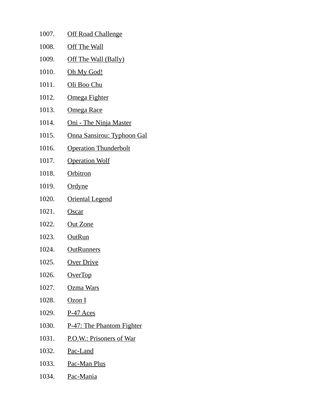| 1007. | <b>Off Road Challenge</b>         |
|-------|-----------------------------------|
| 1008. | <b>Off The Wall</b>               |
| 1009. | Off The Wall (Bally)              |
| 1010. | <u>Oh My God!</u>                 |
| 1011. | Oli Boo Chu                       |
| 1012. | Omega Fighter                     |
| 1013. | <u>Omega Race</u>                 |
| 1014. | Oni - The Ninja Master            |
| 1015. | <b>Onna Sansirou: Typhoon Gal</b> |
| 1016. | <b>Operation Thunderbolt</b>      |
| 1017. | <b>Operation Wolf</b>             |
| 1018. | <b>Orbitron</b>                   |
| 1019. | <b>Ordyne</b>                     |
| 1020. | <b>Oriental Legend</b>            |
| 1021. | <b>Oscar</b>                      |
| 1022. | <u>Out Zone</u>                   |
| 1023. | <b>OutRun</b>                     |
| 1024. | <b>OutRunners</b>                 |
| 1025. | <b>Over Drive</b>                 |
| 1026. | OverTop                           |
| 1027. | Ozma Wars                         |
| 1028. | Ozon I                            |
| 1029. | <u>P-47 Aces</u>                  |
| 1030. | <b>P-47: The Phantom Fighter</b>  |
| 1031. | P.O.W.: Prisoners of War          |
| 1032. | <u>Pac-Land</u>                   |
| 1033. | Pac-Man Plus                      |
| 1034. | <u>Pac-Mania</u>                  |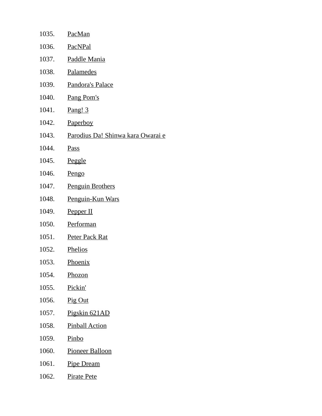| 1035. | PacMan                                   |
|-------|------------------------------------------|
| 1036. | <b>PacNPal</b>                           |
| 1037. | Paddle Mania                             |
| 1038. | <b>Palamedes</b>                         |
| 1039. | Pandora's Palace                         |
| 1040. | Pang Pom's                               |
| 1041. | <u>Pang! 3</u>                           |
| 1042. | Paperboy                                 |
| 1043. | <u>Parodius Da! Shinwa kara Owarai e</u> |
| 1044. | <b>Pass</b>                              |
| 1045. | <b>Peggle</b>                            |
| 1046. | Pengo                                    |
| 1047. | <b>Penguin Brothers</b>                  |
| 1048. | Penguin-Kun Wars                         |
| 1049. | Pepper II                                |
| 1050. | Performan                                |
| 1051. | <b>Peter Pack Rat</b>                    |
| 1052. | <b>Phelios</b>                           |
| 1053. | Phoenix                                  |
| 1054. | Phozon                                   |
| 1055. | Pickin'                                  |
| 1056. | Pig Out                                  |
| 1057. | Pigskin 621AD                            |
| 1058. | <b>Pinball Action</b>                    |
| 1059. | Pinbo                                    |
| 1060. | <b>Pioneer Balloon</b>                   |
| 1061. | <b>Pipe Dream</b>                        |
| 1062. | <b>Pirate Pete</b>                       |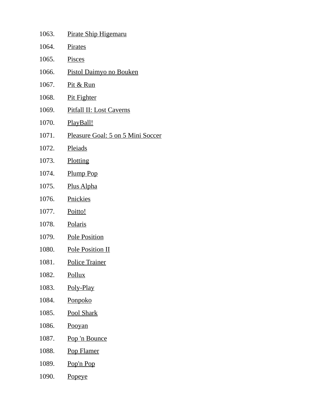| 1063. | Pirate Ship Higemaru              |
|-------|-----------------------------------|
| 1064. | <b>Pirates</b>                    |
| 1065. | <b>Pisces</b>                     |
| 1066. | <u>Pistol Daimyo no Bouken</u>    |
| 1067. | Pit & Run                         |
| 1068. | <b>Pit Fighter</b>                |
| 1069. | <b>Pitfall II: Lost Caverns</b>   |
| 1070. | PlayBall!                         |
| 1071. | Pleasure Goal: 5 on 5 Mini Soccer |
| 1072. | <b>Pleiads</b>                    |
| 1073. | Plotting                          |
| 1074. | Plump Pop                         |
| 1075. | <u>Plus Alpha</u>                 |
| 1076. | <b>Pnickies</b>                   |
| 1077. | Poitto!                           |
| 1078. | Polaris                           |
| 1079. | <b>Pole Position</b>              |
| 1080. | <b>Pole Position II</b>           |
| 1081. | <b>Police Trainer</b>             |
| 1082. | <b>Pollux</b>                     |
| 1083. | Poly-Play                         |
| 1084. | Ponpoko                           |
| 1085. | Pool Shark                        |
| 1086. | Pooyan                            |
| 1087. | Pop 'n Bounce                     |
| 1088. | <b>Pop Flamer</b>                 |
| 1089. | Pop'n Pop                         |
| 1090. | <b>Popeye</b>                     |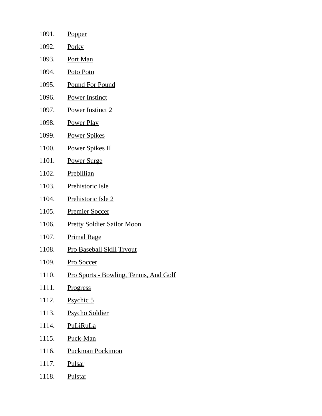| 1091.         | <b>Popper</b>                          |
|---------------|----------------------------------------|
| 1092.         | <u>Porky</u>                           |
| 1093.         | <b>Port Man</b>                        |
| 1094.         | Poto Poto                              |
| 1095.         | <b>Pound For Pound</b>                 |
| 1096.         | <b>Power Instinct</b>                  |
| 1097.         | <b>Power Instinct 2</b>                |
| 1098.         | <b>Power Play</b>                      |
| 1099.         | <b>Power Spikes</b>                    |
| 1100.         | <u>Power Spikes II</u>                 |
| 1101.         | <b>Power Surge</b>                     |
| 1102.         | <b>Prebillian</b>                      |
| 1103.         | Prehistoric Isle                       |
| 1104.         | Prehistoric Isle 2                     |
| 1105.         | <b>Premier Soccer</b>                  |
| 1106.         | <b>Pretty Soldier Sailor Moon</b>      |
| 1107.         | <b>Primal Rage</b>                     |
| 1108.         | <b>Pro Baseball Skill Tryout</b>       |
| 1109.         | <b>Pro Soccer</b>                      |
| 1110.         | Pro Sports - Bowling, Tennis, And Golf |
| 1111.         | <b>Progress</b>                        |
| 1112.         | <b>Psychic 5</b>                       |
| 1113.         | <b>Psycho Soldier</b>                  |
| 1114.         | <b>PuLiRuLa</b>                        |
| 1115.         | Puck-Man                               |
| 1116.         | <b>Puckman Pockimon</b>                |
| 1117. Pulsar  |                                        |
| 1118. Pulstar |                                        |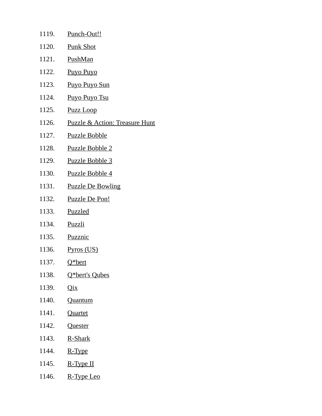| 1119. | Punch-Out!!                               |
|-------|-------------------------------------------|
| 1120. | <b>Punk Shot</b>                          |
| 1121. | PushMan                                   |
| 1122. | <b>Puyo Puyo</b>                          |
| 1123. | <b>Puyo Puyo Sun</b>                      |
| 1124. | Puyo Puyo Tsu                             |
| 1125. | <b>Puzz Loop</b>                          |
| 1126. | <b>Puzzle &amp; Action: Treasure Hunt</b> |
| 1127. | <b>Puzzle Bobble</b>                      |
| 1128. | <u>Puzzle Bobble 2</u>                    |
| 1129. | <b>Puzzle Bobble 3</b>                    |
| 1130. | Puzzle Bobble 4                           |
| 1131. | <b>Puzzle De Bowling</b>                  |
| 1132. | <b>Puzzle De Pon!</b>                     |
| 1133. | <b>Puzzled</b>                            |
| 1134. | <b>Puzzli</b>                             |
| 1135. | <b>Puzznic</b>                            |
| 1136. | <u>Pyros (US)</u>                         |
| 1137. | <u>Q*bert</u>                             |
| 1138. | Q*bert's Qubes                            |
| 1139. | Qix                                       |
| 1140. | Quantum                                   |
| 1141. | <b>Quartet</b>                            |
| 1142. | Quester                                   |
| 1143. | R-Shark                                   |
| 1144. | R-Type                                    |
| 1145. | $R-Type II$                               |

1146. R-Type Leo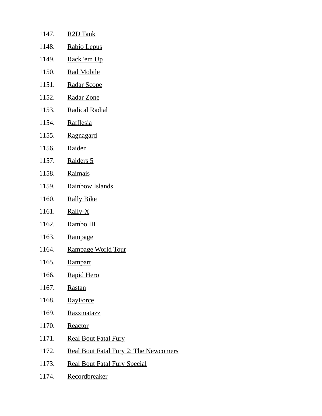| 1147. | R <sub>2</sub> D Tank                 |
|-------|---------------------------------------|
| 1148. | Rabio Lepus                           |
| 1149. | Rack 'em Up                           |
| 1150. | <b>Rad Mobile</b>                     |
| 1151. | <b>Radar Scope</b>                    |
| 1152. | Radar Zone                            |
| 1153. | <b>Radical Radial</b>                 |
| 1154. | <b>Rafflesia</b>                      |
| 1155. | Ragnagard                             |
| 1156. | Raiden                                |
| 1157. | Raiders 5                             |
| 1158. | <b>Raimais</b>                        |
| 1159. | <b>Rainbow Islands</b>                |
| 1160. | <b>Rally Bike</b>                     |
| 1161. | $Rally-X$                             |
| 1162. | Rambo III                             |
| 1163. | Rampage                               |
| 1164. | Rampage World Tour                    |
| 1165. | <b>Rampart</b>                        |
| 1166. | Rapid Hero                            |
| 1167. | Rastan                                |
| 1168. | <b>RayForce</b>                       |
| 1169. | Razzmatazz                            |
| 1170. | <b>Reactor</b>                        |
| 1171. | <b>Real Bout Fatal Fury</b>           |
| 1172. | Real Bout Fatal Fury 2: The Newcomers |

- 1173. Real Bout Fatal Fury Special
- 1174. Recordbreaker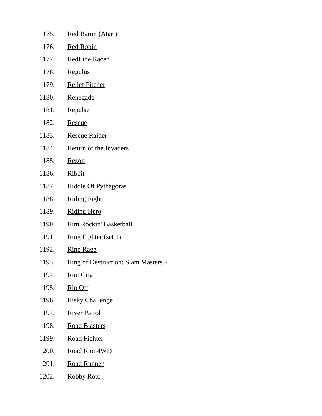| 1175. | Red Baron (Atari)                          |
|-------|--------------------------------------------|
| 1176. | <b>Red Robin</b>                           |
| 1177. | <b>RedLine Racer</b>                       |
| 1178. | <b>Regulus</b>                             |
| 1179. | <b>Relief Pitcher</b>                      |
| 1180. | Renegade                                   |
| 1181. | Repulse                                    |
| 1182. | <b>Rescue</b>                              |
| 1183. | <b>Rescue Raider</b>                       |
| 1184. | Return of the Invaders                     |
| 1185. | <b>Rezon</b>                               |
| 1186. | <b>Ribbit</b>                              |
| 1187. | Riddle Of Pythagoras                       |
| 1188. | <u>Riding Fight</u>                        |
| 1189. | <b>Riding Hero</b>                         |
| 1190. | Rim Rockin' Basketball                     |
| 1191. | <b>Ring Fighter (set 1)</b>                |
| 1192. | <b>Ring Rage</b>                           |
| 1193. | <b>Ring of Destruction: Slam Masters 2</b> |
| 1194. | <b>Riot City</b>                           |
| 1195. | Rip Off                                    |
| 1196. | <b>Risky Challenge</b>                     |
| 1197. | <b>River Patrol</b>                        |
| 1198. | <b>Road Blasters</b>                       |
| 1199. | <u>Road Fighter</u>                        |
| 1200. | <b>Road Riot 4WD</b>                       |
| 1201. | <u>Road Runner</u>                         |
| 1202. | <b>Robby Roto</b>                          |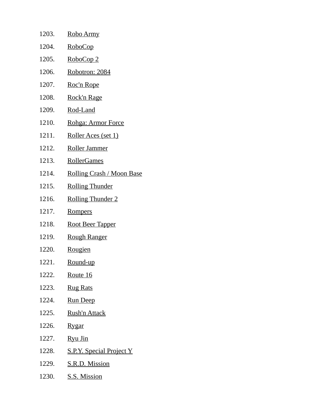| 1203. | Robo Army                       |
|-------|---------------------------------|
| 1204. | <u>RoboCop</u>                  |
| 1205. | RoboCop 2                       |
| 1206. | Robotron: 2084                  |
| 1207. | Roc'n Rope                      |
| 1208. | Rock'n Rage                     |
| 1209. | Rod-Land                        |
| 1210. | Rohga: Armor Force              |
| 1211. | Roller Aces (set 1)             |
| 1212. | Roller Jammer                   |
| 1213. | RollerGames                     |
| 1214. | Rolling Crash / Moon Base       |
| 1215. | <b>Rolling Thunder</b>          |
| 1216. | <b>Rolling Thunder 2</b>        |
| 1217. | <b>Rompers</b>                  |
| 1218. | <b>Root Beer Tapper</b>         |
| 1219. | <b>Rough Ranger</b>             |
| 1220. | <b>Rougien</b>                  |
| 1221. | Round-up                        |
| 1222. | Route 16                        |
| 1223. | <b>Rug Rats</b>                 |
| 1224. | <b>Run Deep</b>                 |
| 1225. | <b>Rush'n Attack</b>            |
| 1226. | <b>Rygar</b>                    |
| 1227. | Ryu Jin                         |
| 1228. | <b>S.P.Y. Special Project Y</b> |
| 1229. | S.R.D. Mission                  |
|       | 1230. S.S. Mission              |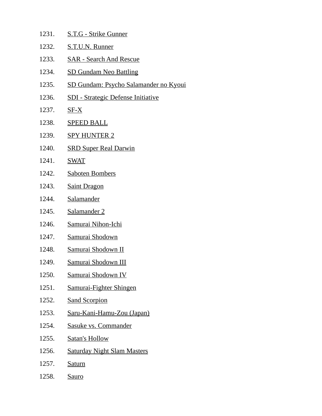| 1231. |  | S.T.G - Strike Gunner |
|-------|--|-----------------------|
|       |  |                       |

- 1232. S.T.U.N. Runner
- 1233. SAR Search And Rescue
- 1234. SD Gundam Neo Battling
- 1235. SD Gundam: Psycho Salamander no Kyoui
- 1236. SDI Strategic Defense Initiative
- 1237. SF-X
- 1238. SPEED BALL
- 1239. SPY HUNTER 2
- 1240. SRD Super Real Darwin
- 1241. SWAT
- 1242. Saboten Bombers
- 1243. Saint Dragon
- 1244. Salamander
- 1245. Salamander 2
- 1246. Samurai Nihon-Ichi
- 1247. Samurai Shodown
- 1248. Samurai Shodown II
- 1249. Samurai Shodown III
- 1250. Samurai Shodown IV
- 1251. Samurai-Fighter Shingen
- 1252. Sand Scorpion
- 1253. Saru-Kani-Hamu-Zou (Japan)
- 1254. Sasuke vs. Commander
- 1255. Satan's Hollow
- 1256. Saturday Night Slam Masters
- 1257. Saturn
- 1258. Sauro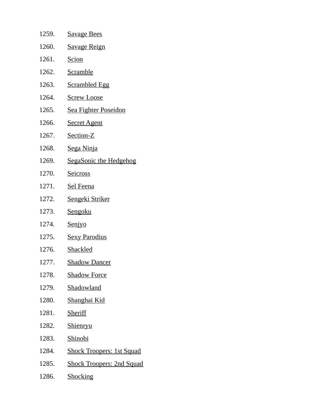| 1259. | <b>Savage Bees</b>               |
|-------|----------------------------------|
| 1260. | <b>Savage Reign</b>              |
| 1261. | <b>Scion</b>                     |
| 1262. | <b>Scramble</b>                  |
| 1263. | <b>Scrambled Egg</b>             |
| 1264. | <b>Screw Loose</b>               |
| 1265. | <u>Sea Fighter Poseidon</u>      |
| 1266. | <b>Secret Agent</b>              |
| 1267. | Section-Z                        |
| 1268. | Sega Ninja                       |
| 1269. | <b>SegaSonic the Hedgehog</b>    |
| 1270. | <b>Seicross</b>                  |
| 1271. | <b>Sel Feena</b>                 |
| 1272. | Sengeki Striker                  |
| 1273. | Sengoku                          |
| 1274. | <b>Senjyo</b>                    |
| 1275. | <b>Sexy Parodius</b>             |
| 1276. | Shackled                         |
| 1277. | <u> Shadow Dancer</u>            |
| 1278. | <b>Shadow Force</b>              |
| 1279. | Shadowland                       |
| 1280. | Shanghai Kid                     |
| 1281. | Sheriff                          |
| 1282. | <u>Shienryu</u>                  |
| 1283. | Shinobi                          |
| 1284. | <b>Shock Troopers: 1st Squad</b> |
| 1285. | <b>Shock Troopers: 2nd Squad</b> |
| 1286. | <b>Shocking</b>                  |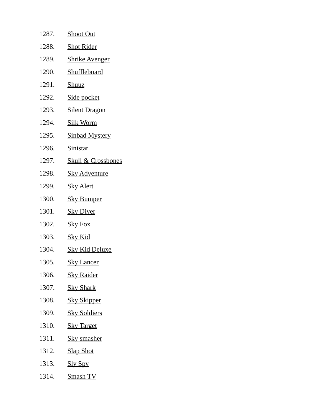| 1287. | <b>Shoot Out</b>              |
|-------|-------------------------------|
| 1288. | <b>Shot Rider</b>             |
| 1289. | <b>Shrike Avenger</b>         |
| 1290. | Shuffleboard                  |
| 1291. | <u>Shuuz</u>                  |
| 1292. | Side pocket                   |
| 1293. | <b>Silent Dragon</b>          |
| 1294. | <b>Silk Worm</b>              |
| 1295. | <b>Sinbad Mystery</b>         |
| 1296. | <b>Sinistar</b>               |
| 1297. | <b>Skull &amp; Crossbones</b> |
| 1298. | <u>Sky Adventure</u>          |
| 1299. | <b>Sky Alert</b>              |
| 1300. | <b>Sky Bumper</b>             |
| 1301. | <b>Sky Diver</b>              |
| 1302. | <b>Sky Fox</b>                |
| 1303. | <u>Sky Kid</u>                |
| 1304. | <u>Sky Kid Deluxe</u>         |
| 1305. | <b>Sky Lancer</b>             |
| 1306. | <b>Sky Raider</b>             |
| 1307. | <b>Sky Shark</b>              |
| 1308. | <b>Sky Skipper</b>            |
| 1309. | <b>Sky Soldiers</b>           |
| 1310. | <b>Sky Target</b>             |
| 1311. | <b>Sky smasher</b>            |
| 1312. | <b>Slap Shot</b>              |
| 1313. | <b>Sly Spy</b>                |
| 1314. | <b>Smash TV</b>               |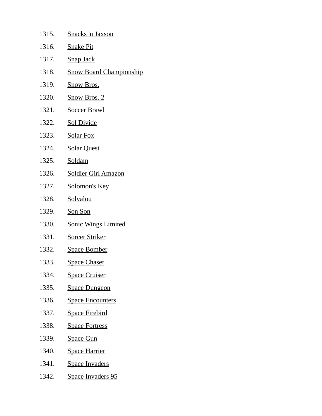| 1315. | <u>Snacks 'n Jaxson</u>        |
|-------|--------------------------------|
| 1316. | <b>Snake Pit</b>               |
| 1317. | <b>Snap Jack</b>               |
| 1318. | <b>Snow Board Championship</b> |
| 1319. | <b>Snow Bros.</b>              |
| 1320. | <b>Snow Bros. 2</b>            |
| 1321. | <b>Soccer Brawl</b>            |
| 1322. | <b>Sol Divide</b>              |
| 1323. | <b>Solar Fox</b>               |
| 1324. | <b>Solar Quest</b>             |
| 1325. | Soldam                         |
| 1326. | <b>Soldier Girl Amazon</b>     |
| 1327. | Solomon's Key                  |
| 1328. | Solvalou                       |
| 1329. | Son Son                        |
| 1330. | <b>Sonic Wings Limited</b>     |
| 1331. | <b>Sorcer Striker</b>          |
| 1332. | <b>Space Bomber</b>            |
| 1333. | <u>Space Chaser</u>            |
| 1334. | <b>Space Cruiser</b>           |
| 1335. | <b>Space Dungeon</b>           |
| 1336. | <b>Space Encounters</b>        |
| 1337. | <u>Space Firebird</u>          |
| 1338. | <b>Space Fortress</b>          |
| 1339. | <u>Space Gun</u>               |
| 1340. | <b>Space Harrier</b>           |
| 1341. | <b>Space Invaders</b>          |
| 1342. | <b>Space Invaders 95</b>       |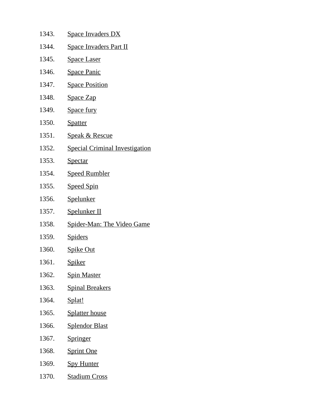| 1343. | <b>Space Invaders DX</b>              |
|-------|---------------------------------------|
| 1344. | <b>Space Invaders Part II</b>         |
| 1345. | <b>Space Laser</b>                    |
| 1346. | <b>Space Panic</b>                    |
| 1347. | <b>Space Position</b>                 |
| 1348. | <b>Space Zap</b>                      |
| 1349. | <b>Space fury</b>                     |
| 1350. | <b>Spatter</b>                        |
| 1351. | <u>Speak &amp; Rescue</u>             |
| 1352. | <b>Special Criminal Investigation</b> |
| 1353. | <u>Spectar</u>                        |
| 1354. | <b>Speed Rumbler</b>                  |
| 1355. | <b>Speed Spin</b>                     |
| 1356. | Spelunker                             |
| 1357. | Spelunker II                          |
| 1358. | <b>Spider-Man: The Video Game</b>     |
| 1359. | <b>Spiders</b>                        |
| 1360. | <b>Spike Out</b>                      |
| 1361. | <u>Spiker</u>                         |
| 1362. | <b>Spin Master</b>                    |
| 1363. | <b>Spinal Breakers</b>                |
| 1364. | Splat!                                |
| 1365. | <b>Splatter house</b>                 |
| 1366. | <b>Splendor Blast</b>                 |
| 1367. | <b>Springer</b>                       |
| 1368. | <b>Sprint One</b>                     |
| 1369. | <b>Spy Hunter</b>                     |
| 1370. | <b>Stadium Cross</b>                  |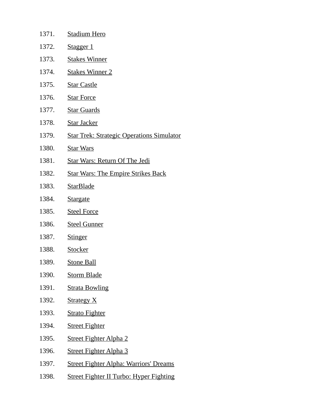| 1371. | <b>Stadium Hero</b>                              |
|-------|--------------------------------------------------|
| 1372. | Stagger 1                                        |
| 1373. | <b>Stakes Winner</b>                             |
| 1374. | <b>Stakes Winner 2</b>                           |
| 1375. | <b>Star Castle</b>                               |
| 1376. | <b>Star Force</b>                                |
| 1377. | <b>Star Guards</b>                               |
| 1378. | <b>Star Jacker</b>                               |
| 1379. | <b>Star Trek: Strategic Operations Simulator</b> |
| 1380. | <b>Star Wars</b>                                 |
| 1381. | <b>Star Wars: Return Of The Jedi</b>             |
| 1382. | <b>Star Wars: The Empire Strikes Back</b>        |
| 1383. | <b>StarBlade</b>                                 |
| 1384. | <b>Stargate</b>                                  |
| 1385. | <b>Steel Force</b>                               |
| 1386. | <b>Steel Gunner</b>                              |
| 1387. | <b>Stinger</b>                                   |
| 1388. | Stocker                                          |
| 1389. | <b>Stone Ball</b>                                |
| 1390. | <b>Storm Blade</b>                               |
| 1391. | <b>Strata Bowling</b>                            |
| 1392. | <b>Strategy X</b>                                |
| 1393. | <b>Strato Fighter</b>                            |
| 1394. | <b>Street Fighter</b>                            |
| 1395. | <b>Street Fighter Alpha 2</b>                    |
| 1396. | <b>Street Fighter Alpha 3</b>                    |
| 1397. | <b>Street Fighter Alpha: Warriors' Dreams</b>    |
| 1398. | <b>Street Fighter II Turbo: Hyper Fighting</b>   |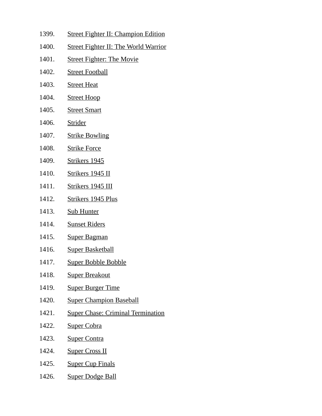- 1399. Street Fighter II: Champion Edition
- 1400. Street Fighter II: The World Warrior
- 1401. Street Fighter: The Movie
- 1402. Street Football
- 1403. Street Heat
- 1404. Street Hoop
- 1405. Street Smart
- 1406. Strider
- 1407. Strike Bowling
- 1408. Strike Force
- 1409. Strikers 1945
- 1410. Strikers 1945 II
- 1411. Strikers 1945 III
- 1412. Strikers 1945 Plus
- 1413. Sub Hunter
- 1414. Sunset Riders
- 1415. Super Bagman
- 1416. Super Basketball
- 1417. Super Bobble Bobble
- 1418. Super Breakout
- 1419. Super Burger Time
- 1420. Super Champion Baseball
- 1421. Super Chase: Criminal Termination
- 1422. Super Cobra
- 1423. Super Contra
- 1424. Super Cross II
- 1425. Super Cup Finals
- 1426. Super Dodge Ball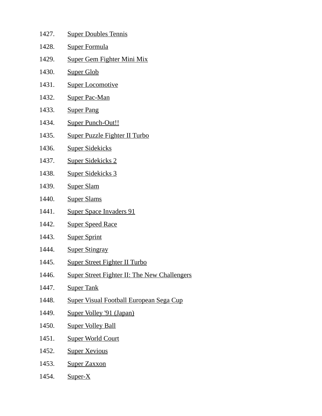| 1427. | <b>Super Doubles Tennis</b>                         |
|-------|-----------------------------------------------------|
| 1428. | <b>Super Formula</b>                                |
| 1429. | <b>Super Gem Fighter Mini Mix</b>                   |
| 1430. | <b>Super Glob</b>                                   |
| 1431. | <b>Super Locomotive</b>                             |
| 1432. | <b>Super Pac-Man</b>                                |
| 1433. | <b>Super Pang</b>                                   |
| 1434. | Super Punch-Out!!                                   |
| 1435. | Super Puzzle Fighter II Turbo                       |
| 1436. | <b>Super Sidekicks</b>                              |
| 1437. | <b>Super Sidekicks 2</b>                            |
| 1438. | <b>Super Sidekicks 3</b>                            |
| 1439. | <b>Super Slam</b>                                   |
| 1440. | <b>Super Slams</b>                                  |
| 1441. | <b>Super Space Invaders 91</b>                      |
| 1442. | <b>Super Speed Race</b>                             |
| 1443. | <b>Super Sprint</b>                                 |
| 1444. | <b>Super Stingray</b>                               |
| 1445. | <b>Super Street Fighter II Turbo</b>                |
| 1446. | <b>Super Street Fighter II: The New Challengers</b> |
| 1447. | <b>Super Tank</b>                                   |
| 1448. | <b>Super Visual Football European Sega Cup</b>      |
| 1449. | Super Volley '91 (Japan)                            |
| 1450. | <b>Super Volley Ball</b>                            |
| 1451. | <b>Super World Court</b>                            |
| 1452. | <b>Super Xevious</b>                                |
| 1453. | <b>Super Zaxxon</b>                                 |
| 1454. | Super-X                                             |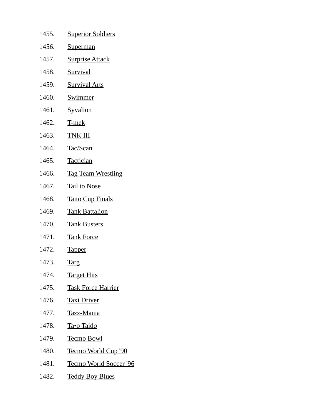| 1455. | <b>Superior Soldiers</b>       |
|-------|--------------------------------|
| 1456. | Superman                       |
| 1457. | <b>Surprise Attack</b>         |
| 1458. | <b>Survival</b>                |
| 1459. | <b>Survival Arts</b>           |
| 1460. | <b>Swimmer</b>                 |
| 1461. | <b>Syvalion</b>                |
| 1462. | T-mek                          |
| 1463. | <b>TNK III</b>                 |
| 1464. | Tac/Scan                       |
| 1465. | <b>Tactician</b>               |
| 1466. | <b>Tag Team Wrestling</b>      |
| 1467. | <b>Tail to Nose</b>            |
| 1468. | <b>Taito Cup Finals</b>        |
| 1469. | <b>Tank Battalion</b>          |
| 1470. | <b>Tank Busters</b>            |
| 1471. | <u>Tank Force</u>              |
| 1472. | <b>Tapper</b>                  |
| 1473. | <b>Targ</b>                    |
| 1474. | <b>Target Hits</b>             |
| 1475. | <b>Task Force Harrier</b>      |
| 1476. | <u>Taxi Driver</u>             |
| 1477. | <u>Tazz-Mania</u>              |
| 1478. | <u>Ta•o Taido</u>              |
| 1479. | <b>Tecmo Bowl</b>              |
| 1480. | <u>Tecmo World Cup '90</u>     |
| 1481. | <u> Tecmo World Soccer '96</u> |
| 1482. | <u>Teddy Boy Blues</u>         |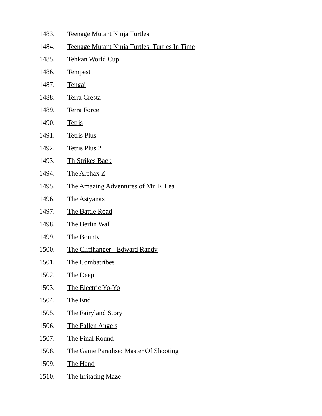- 1483. Teenage Mutant Ninja Turtles
- 1484. Teenage Mutant Ninja Turtles: Turtles In Time
- 1485. Tehkan World Cup
- 1486. Tempest
- 1487. Tengai
- 1488. Terra Cresta
- 1489. Terra Force
- 1490. Tetris
- 1491. Tetris Plus
- 1492. Tetris Plus 2
- 1493. Th Strikes Back
- 1494. The Alphax Z
- 1495. The Amazing Adventures of Mr. F. Lea
- 1496. The Astyanax
- 1497. The Battle Road
- 1498. The Berlin Wall
- 1499. The Bounty
- 1500. The Cliffhanger Edward Randy
- 1501. The Combatribes
- 1502. The Deep
- 1503. The Electric Yo-Yo
- 1504. The End
- 1505. The Fairyland Story
- 1506. The Fallen Angels
- 1507. The Final Round
- 1508. The Game Paradise: Master Of Shooting
- 1509. The Hand
- 1510. The Irritating Maze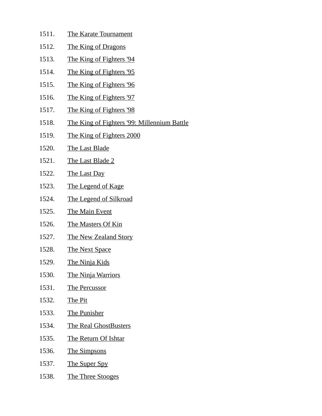- 1511. The Karate Tournament
- 1512. The King of Dragons
- 1513. The King of Fighters '94
- 1514. The King of Fighters '95
- 1515. The King of Fighters '96
- 1516. The King of Fighters '97
- 1517. The King of Fighters '98
- 1518. The King of Fighters '99: Millennium Battle
- 1519. The King of Fighters 2000
- 1520. The Last Blade
- 1521. The Last Blade 2
- 1522. The Last Day
- 1523. The Legend of Kage
- 1524. The Legend of Silkroad
- 1525. The Main Event
- 1526. The Masters Of Kin
- 1527. The New Zealand Story
- 1528. The Next Space
- 1529. The Ninja Kids
- 1530. The Ninja Warriors
- 1531. The Percussor
- 1532. The Pit
- 1533. The Punisher
- 1534. The Real GhostBusters
- 1535. The Return Of Ishtar
- 1536. The Simpsons
- 1537. The Super Spy
- 1538. The Three Stooges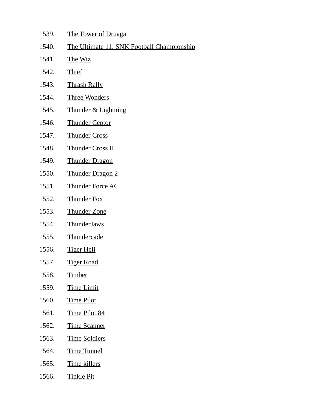- 1539. The Tower of Druaga
- 1540. The Ultimate 11: SNK Football Championship
- 1541. The Wiz
- 1542. Thief
- 1543. Thrash Rally
- 1544. Three Wonders
- 1545. Thunder & Lightning
- 1546. Thunder Ceptor
- 1547. Thunder Cross
- 1548. Thunder Cross II
- 1549. Thunder Dragon
- 1550. Thunder Dragon 2
- 1551. Thunder Force AC
- 1552. Thunder Fox
- 1553. Thunder Zone
- 1554. ThunderJaws
- 1555. Thundercade
- 1556. Tiger Heli
- 1557. Tiger Road
- 1558. Timber
- 1559. Time Limit
- 1560. Time Pilot
- 1561. Time Pilot 84
- 1562. Time Scanner
- 1563. Time Soldiers
- 1564. Time Tunnel
- 1565. Time killers
- 1566. Tinkle Pit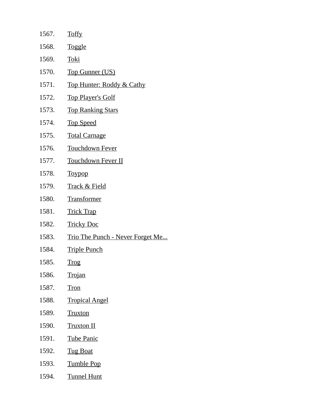| 1567. | <b>Toffy</b>                     |
|-------|----------------------------------|
| 1568. | <b>Toggle</b>                    |
| 1569. | Toki                             |
| 1570. | <b>Top Gunner (US)</b>           |
| 1571. | Top Hunter: Roddy & Cathy        |
| 1572. | <u>Top Player's Golf</u>         |
| 1573. | <b>Top Ranking Stars</b>         |
| 1574. | <b>Top Speed</b>                 |
| 1575. | <b>Total Carnage</b>             |
| 1576. | <b>Touchdown Fever</b>           |
| 1577. | <b>Touchdown Fever II</b>        |
| 1578. | <b>Toypop</b>                    |
| 1579. | <b>Track &amp; Field</b>         |
| 1580. | Transformer                      |
| 1581. | <b>Trick Trap</b>                |
| 1582. | <b>Tricky Doc</b>                |
| 1583. | Trio The Punch - Never Forget Me |
| 1584. | <b>Triple Punch</b>              |
| 1585. | <u>Trog</u>                      |
| 1586. | <b>Trojan</b>                    |
| 1587. | <b>Tron</b>                      |
| 1588. | <b>Tropical Angel</b>            |
| 1589. | <b>Truxton</b>                   |
| 1590. | <u>Truxton II</u>                |
| 1591. | <u>Tube Panic</u>                |
| 1592. | <b>Tug Boat</b>                  |
| 1593. | <b>Tumble Pop</b>                |
| 1594. | <u>Tunnel Hunt</u>               |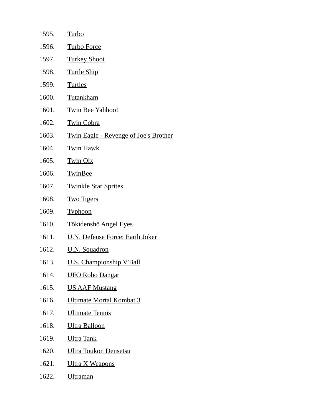| 1595. | Turbo                                        |
|-------|----------------------------------------------|
| 1596. | <b>Turbo Force</b>                           |
| 1597. | <b>Turkey Shoot</b>                          |
| 1598. | <b>Turtle Ship</b>                           |
| 1599. | <b>Turtles</b>                               |
| 1600. | Tutankham                                    |
| 1601. | <b>Twin Bee Yahhoo!</b>                      |
| 1602. | <b>Twin Cobra</b>                            |
| 1603. | <b>Twin Eagle - Revenge of Joe's Brother</b> |
| 1604. | <b>Twin Hawk</b>                             |
| 1605. | <b>Twin Qix</b>                              |
| 1606. | <b>TwinBee</b>                               |
| 1607. | <b>Twinkle Star Sprites</b>                  |
| 1608. | <b>Two Tigers</b>                            |
| 1609. | <b>Typhoon</b>                               |
| 1610. | Tōkidenshō Angel Eyes                        |
| 1611. | <b>U.N. Defense Force: Earth Joker</b>       |
| 1612. | U.N. Squadron                                |
| 1613. | <b>U.S. Championship V'Ball</b>              |
| 1614. | <b>UFO Robo Dangar</b>                       |
| 1615. | <b>US AAF Mustang</b>                        |
| 1616. | <b>Ultimate Mortal Kombat 3</b>              |
| 1617. | <b>Ultimate Tennis</b>                       |
| 1618. | <b>Ultra Balloon</b>                         |
| 1619. | <u>Ultra Tank</u>                            |
| 1620. | <b>Ultra Toukon Densetsu</b>                 |
| 1621. | <u>Ultra X Weapons</u>                       |
| 1622. | <b>Ultraman</b>                              |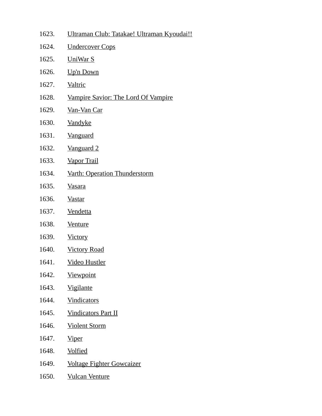- 1623. Ultraman Club: Tatakae! Ultraman Kyoudai!!
- 1624. Undercover Cops
- 1625. UniWar S
- 1626. Up'n Down
- 1627. Valtric
- 1628. Vampire Savior: The Lord Of Vampire
- 1629. Van-Van Car
- 1630. Vandyke
- 1631. Vanguard
- 1632. Vanguard 2
- 1633. Vapor Trail
- 1634. Varth: Operation Thunderstorm
- 1635. Vasara
- 1636. Vastar
- 1637. Vendetta
- 1638. Venture
- 1639. Victory
- 1640. Victory Road
- 1641. Video Hustler
- 1642. Viewpoint
- 1643. Vigilante
- 1644. Vindicators
- 1645. Vindicators Part II
- 1646. Violent Storm
- 1647. Viper
- 1648. Volfied
- 1649. Voltage Fighter Gowcaizer
- 1650. Vulcan Venture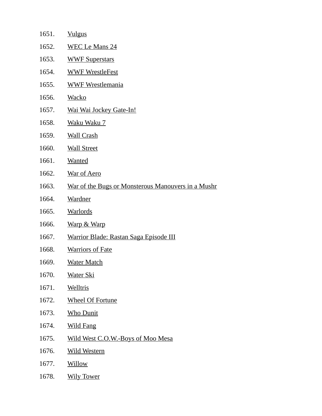| 1651. | <b>Vulgus</b>                                      |
|-------|----------------------------------------------------|
| 1652. | <b>WEC Le Mans 24</b>                              |
| 1653. | <b>WWF Superstars</b>                              |
| 1654. | <b>WWF WrestleFest</b>                             |
| 1655. | <b>WWF Wrestlemania</b>                            |
| 1656. | <b>Wacko</b>                                       |
| 1657. | <u>Wai Wai Jockey Gate-In!</u>                     |
| 1658. | <u>Waku Waku 7</u>                                 |
| 1659. | <b>Wall Crash</b>                                  |
| 1660. | <b>Wall Street</b>                                 |
| 1661. | <b>Wanted</b>                                      |
| 1662. | <b>War of Aero</b>                                 |
| 1663. | War of the Bugs or Monsterous Manouvers in a Mushr |
| 1664. | <b>Wardner</b>                                     |
| 1665. | <b>Warlords</b>                                    |
| 1666. | <b>Warp &amp; Warp</b>                             |
| 1667. | <b>Warrior Blade: Rastan Saga Episode III</b>      |
| 1668. | <b>Warriors of Fate</b>                            |
| 1669. | <b>Water Match</b>                                 |
| 1670. | <u>Water Ski</u>                                   |
| 1671. | <b>Welltris</b>                                    |
| 1672. | <b>Wheel Of Fortune</b>                            |
| 1673. | <b>Who Dunit</b>                                   |
| 1674. | <b>Wild Fang</b>                                   |
| 1675. | Wild West C.O.W.-Boys of Moo Mesa                  |
| 1676. | <b>Wild Western</b>                                |
| 1677. | Willow                                             |
| 1678. | <b>Wily Tower</b>                                  |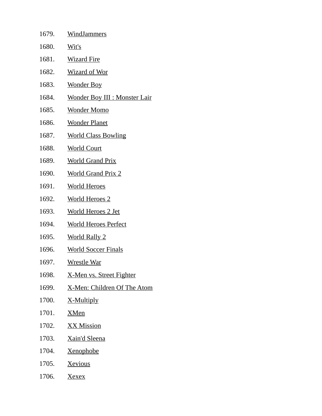| 1679. | <b>WindJammers</b>                    |
|-------|---------------------------------------|
| 1680. | Wit's                                 |
| 1681. | <b>Wizard Fire</b>                    |
| 1682. | <b>Wizard of Wor</b>                  |
| 1683. | <b>Wonder Boy</b>                     |
| 1684. | <u> Wonder Boy III : Monster Lair</u> |
| 1685. | <u>Wonder Momo</u>                    |
| 1686. | <b>Wonder Planet</b>                  |
| 1687. | <b>World Class Bowling</b>            |
| 1688. | <b>World Court</b>                    |
| 1689. | <b>World Grand Prix</b>               |
| 1690. | <b>World Grand Prix 2</b>             |
| 1691. | <u>World Heroes</u>                   |
| 1692. | <u>World Heroes 2</u>                 |
| 1693. | <u>World Heroes 2 Jet</u>             |
| 1694. | <b>World Heroes Perfect</b>           |
| 1695. | <u>World Rally 2</u>                  |
| 1696. | <b>World Soccer Finals</b>            |
| 1697. | <b>Wrestle War</b>                    |
| 1698. | X-Men vs. Street Fighter              |
| 1699. | X-Men: Children Of The Atom           |
| 1700. | X-Multiply                            |
| 1701. | <b>XMen</b>                           |
| 1702. | XX Mission                            |
| 1703. | <u>Xain'd Sleena</u>                  |
| 1704. | <b>Xenophobe</b>                      |
| 1705. | <u>Xevious</u>                        |
| 1706. | <u>Xexex</u>                          |